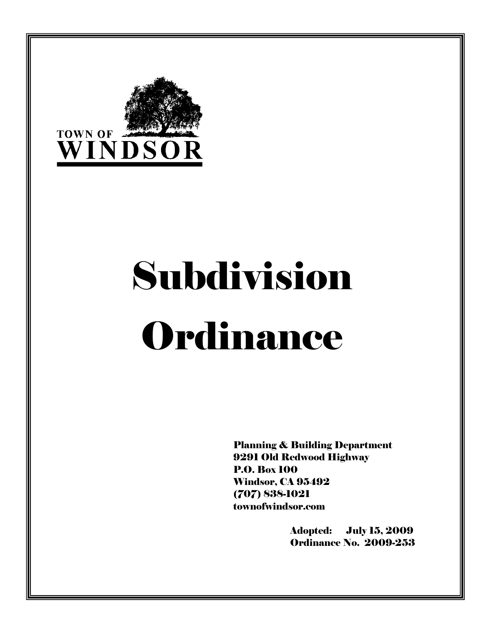

# Subdivision Ordinance

Planning & Building Department 9291 Old Redwood Highway P.O. Box 100 Windsor, CA 95492 (707) 838-1021 townofwindsor.com

> Adopted: July 15, 2009 Ordinance No. 2009-253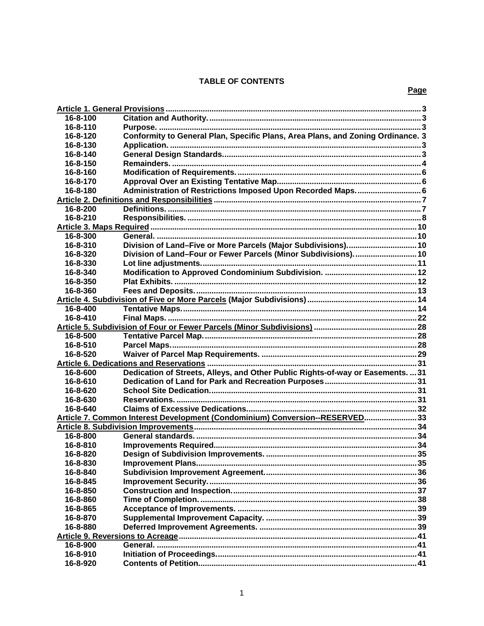# **TABLE OF CONTENTS**

| 16-8-100 |                                                                                 |  |
|----------|---------------------------------------------------------------------------------|--|
| 16-8-110 |                                                                                 |  |
| 16-8-120 | Conformity to General Plan, Specific Plans, Area Plans, and Zoning Ordinance. 3 |  |
| 16-8-130 |                                                                                 |  |
| 16-8-140 |                                                                                 |  |
| 16-8-150 |                                                                                 |  |
| 16-8-160 |                                                                                 |  |
| 16-8-170 |                                                                                 |  |
| 16-8-180 | Administration of Restrictions Imposed Upon Recorded Maps 6                     |  |
|          |                                                                                 |  |
| 16-8-200 |                                                                                 |  |
| 16-8-210 |                                                                                 |  |
|          |                                                                                 |  |
| 16-8-300 |                                                                                 |  |
| 16-8-310 | Division of Land-Five or More Parcels (Major Subdivisions) 10                   |  |
| 16-8-320 | Division of Land-Four or Fewer Parcels (Minor Subdivisions) 10                  |  |
| 16-8-330 |                                                                                 |  |
| 16-8-340 |                                                                                 |  |
| 16-8-350 |                                                                                 |  |
| 16-8-360 |                                                                                 |  |
|          |                                                                                 |  |
| 16-8-400 |                                                                                 |  |
| 16-8-410 |                                                                                 |  |
|          |                                                                                 |  |
| 16-8-500 |                                                                                 |  |
| 16-8-510 |                                                                                 |  |
| 16-8-520 |                                                                                 |  |
|          |                                                                                 |  |
| 16-8-600 | Dedication of Streets, Alleys, and Other Public Rights-of-way or Easements.  31 |  |
| 16-8-610 |                                                                                 |  |
| 16-8-620 |                                                                                 |  |
| 16-8-630 |                                                                                 |  |
| 16-8-640 |                                                                                 |  |
|          | Article 7. Common Interest Development (Condominium) Conversion--RESERVED 33    |  |
|          |                                                                                 |  |
| 16-8-800 |                                                                                 |  |
| 16-8-810 |                                                                                 |  |
| 16-8-820 |                                                                                 |  |
| 16-8-830 |                                                                                 |  |
| 16-8-840 |                                                                                 |  |
| 16-8-845 |                                                                                 |  |
| 16-8-850 |                                                                                 |  |
| 16-8-860 |                                                                                 |  |
| 16-8-865 |                                                                                 |  |
| 16-8-870 |                                                                                 |  |
| 16-8-880 |                                                                                 |  |
|          |                                                                                 |  |
| 16-8-900 |                                                                                 |  |
| 16-8-910 |                                                                                 |  |
| 16-8-920 |                                                                                 |  |
|          |                                                                                 |  |

# Page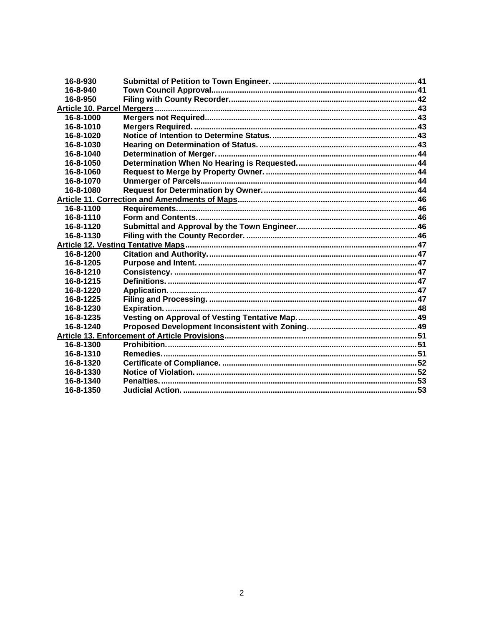| 16-8-930  |  |
|-----------|--|
| 16-8-940  |  |
| 16-8-950  |  |
|           |  |
| 16-8-1000 |  |
| 16-8-1010 |  |
| 16-8-1020 |  |
| 16-8-1030 |  |
| 16-8-1040 |  |
| 16-8-1050 |  |
| 16-8-1060 |  |
| 16-8-1070 |  |
| 16-8-1080 |  |
|           |  |
| 16-8-1100 |  |
| 16-8-1110 |  |
| 16-8-1120 |  |
| 16-8-1130 |  |
|           |  |
| 16-8-1200 |  |
| 16-8-1205 |  |
| 16-8-1210 |  |
| 16-8-1215 |  |
| 16-8-1220 |  |
| 16-8-1225 |  |
| 16-8-1230 |  |
| 16-8-1235 |  |
| 16-8-1240 |  |
|           |  |
| 16-8-1300 |  |
| 16-8-1310 |  |
| 16-8-1320 |  |
| 16-8-1330 |  |
| 16-8-1340 |  |
| 16-8-1350 |  |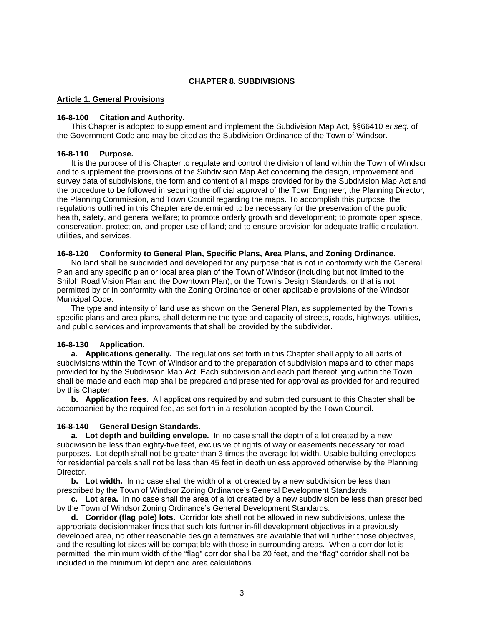## **CHAPTER 8. SUBDIVISIONS**

## <span id="page-3-0"></span>**Article 1. General Provisions**

## **16-8-100 Citation and Authority.**

 This Chapter is adopted to supplement and implement the Subdivision Map Act, §§66410 *et seq.* of the Government Code and may be cited as the Subdivision Ordinance of the Town of Windsor.

## **16-8-110 Purpose.**

 It is the purpose of this Chapter to regulate and control the division of land within the Town of Windsor and to supplement the provisions of the Subdivision Map Act concerning the design, improvement and survey data of subdivisions, the form and content of all maps provided for by the Subdivision Map Act and the procedure to be followed in securing the official approval of the Town Engineer, the Planning Director, the Planning Commission, and Town Council regarding the maps. To accomplish this purpose, the regulations outlined in this Chapter are determined to be necessary for the preservation of the public health, safety, and general welfare; to promote orderly growth and development; to promote open space, conservation, protection, and proper use of land; and to ensure provision for adequate traffic circulation, utilities, and services.

#### **16-8-120 Conformity to General Plan, Specific Plans, Area Plans, and Zoning Ordinance.**

 No land shall be subdivided and developed for any purpose that is not in conformity with the General Plan and any specific plan or local area plan of the Town of Windsor (including but not limited to the Shiloh Road Vision Plan and the Downtown Plan), or the Town's Design Standards, or that is not permitted by or in conformity with the Zoning Ordinance or other applicable provisions of the Windsor Municipal Code.

 The type and intensity of land use as shown on the General Plan, as supplemented by the Town's specific plans and area plans, shall determine the type and capacity of streets, roads, highways, utilities, and public services and improvements that shall be provided by the subdivider.

## **16-8-130 Application.**

**a. Applications generally.** The regulations set forth in this Chapter shall apply to all parts of subdivisions within the Town of Windsor and to the preparation of subdivision maps and to other maps provided for by the Subdivision Map Act. Each subdivision and each part thereof lying within the Town shall be made and each map shall be prepared and presented for approval as provided for and required by this Chapter.

**b. Application fees.** All applications required by and submitted pursuant to this Chapter shall be accompanied by the required fee, as set forth in a resolution adopted by the Town Council.

## **16-8-140 General Design Standards.**

**a. Lot depth and building envelope.** In no case shall the depth of a lot created by a new subdivision be less than eighty-five feet, exclusive of rights of way or easements necessary for road purposes. Lot depth shall not be greater than 3 times the average lot width. Usable building envelopes for residential parcels shall not be less than 45 feet in depth unless approved otherwise by the Planning Director.

**b.** Lot width. In no case shall the width of a lot created by a new subdivision be less than prescribed by the Town of Windsor Zoning Ordinance's General Development Standards.

**c. Lot area.** In no case shall the area of a lot created by a new subdivision be less than prescribed by the Town of Windsor Zoning Ordinance's General Development Standards.

**d. Corridor (flag pole) lots.** Corridor lots shall not be allowed in new subdivisions, unless the appropriate decisionmaker finds that such lots further in-fill development objectives in a previously developed area, no other reasonable design alternatives are available that will further those objectives, and the resulting lot sizes will be compatible with those in surrounding areas. When a corridor lot is permitted, the minimum width of the "flag" corridor shall be 20 feet, and the "flag" corridor shall not be included in the minimum lot depth and area calculations.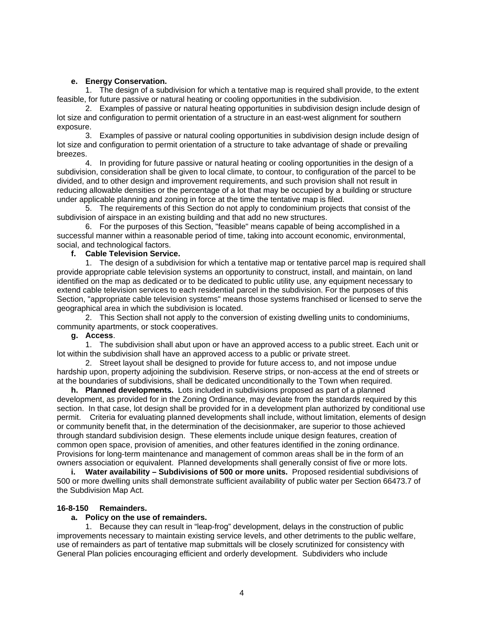## **e. Energy Conservation.**

<span id="page-4-0"></span> 1. The design of a subdivision for which a tentative map is required shall provide, to the extent feasible, for future passive or natural heating or cooling opportunities in the subdivision.

 2. Examples of passive or natural heating opportunities in subdivision design include design of lot size and configuration to permit orientation of a structure in an east-west alignment for southern exposure.

 3. Examples of passive or natural cooling opportunities in subdivision design include design of lot size and configuration to permit orientation of a structure to take advantage of shade or prevailing breezes.

 4. In providing for future passive or natural heating or cooling opportunities in the design of a subdivision, consideration shall be given to local climate, to contour, to configuration of the parcel to be divided, and to other design and improvement requirements, and such provision shall not result in reducing allowable densities or the percentage of a lot that may be occupied by a building or structure under applicable planning and zoning in force at the time the tentative map is filed.

 5. The requirements of this Section do not apply to condominium projects that consist of the subdivision of airspace in an existing building and that add no new structures.

 6. For the purposes of this Section, "feasible" means capable of being accomplished in a successful manner within a reasonable period of time, taking into account economic, environmental, social, and technological factors.

## **f. Cable Television Service.**

 1. The design of a subdivision for which a tentative map or tentative parcel map is required shall provide appropriate cable television systems an opportunity to construct, install, and maintain, on land identified on the map as dedicated or to be dedicated to public utility use, any equipment necessary to extend cable television services to each residential parcel in the subdivision. For the purposes of this Section, "appropriate cable television systems" means those systems franchised or licensed to serve the geographical area in which the subdivision is located.

 2. This Section shall not apply to the conversion of existing dwelling units to condominiums, community apartments, or stock cooperatives.

## **g. Access**.

 1. The subdivision shall abut upon or have an approved access to a public street. Each unit or lot within the subdivision shall have an approved access to a public or private street.

 2. Street layout shall be designed to provide for future access to, and not impose undue hardship upon, property adjoining the subdivision. Reserve strips, or non-access at the end of streets or at the boundaries of subdivisions, shall be dedicated unconditionally to the Town when required.

**h. Planned developments.** Lots included in subdivisions proposed as part of a planned development, as provided for in the Zoning Ordinance, may deviate from the standards required by this section. In that case, lot design shall be provided for in a development plan authorized by conditional use permit. Criteria for evaluating planned developments shall include, without limitation, elements of design or community benefit that, in the determination of the decisionmaker, are superior to those achieved through standard subdivision design. These elements include unique design features, creation of common open space, provision of amenities, and other features identified in the zoning ordinance. Provisions for long-term maintenance and management of common areas shall be in the form of an owners association or equivalent. Planned developments shall generally consist of five or more lots.

**i. Water availability – Subdivisions of 500 or more units.** Proposed residential subdivisions of 500 or more dwelling units shall demonstrate sufficient availability of public water per Section 66473.7 of the Subdivision Map Act.

# **16-8-150 Remainders.**

## **a. Policy on the use of remainders.**

 1. Because they can result in "leap-frog" development, delays in the construction of public improvements necessary to maintain existing service levels, and other detriments to the public welfare, use of remainders as part of tentative map submittals will be closely scrutinized for consistency with General Plan policies encouraging efficient and orderly development. Subdividers who include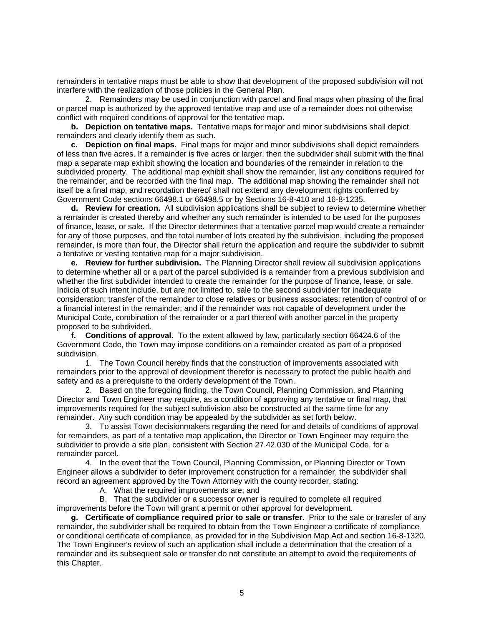remainders in tentative maps must be able to show that development of the proposed subdivision will not interfere with the realization of those policies in the General Plan.

 2. Remainders may be used in conjunction with parcel and final maps when phasing of the final or parcel map is authorized by the approved tentative map and use of a remainder does not otherwise conflict with required conditions of approval for the tentative map.

**b. Depiction on tentative maps.** Tentative maps for major and minor subdivisions shall depict remainders and clearly identify them as such.

**c. Depiction on final maps.** Final maps for major and minor subdivisions shall depict remainders of less than five acres. If a remainder is five acres or larger, then the subdivider shall submit with the final map a separate map exhibit showing the location and boundaries of the remainder in relation to the subdivided property. The additional map exhibit shall show the remainder, list any conditions required for the remainder, and be recorded with the final map. The additional map showing the remainder shall not itself be a final map, and recordation thereof shall not extend any development rights conferred by Government Code sections 66498.1 or 66498.5 or by Sections 16-8-410 and 16-8-1235.

 **d. Review for creation.** All subdivision applications shall be subject to review to determine whether a remainder is created thereby and whether any such remainder is intended to be used for the purposes of finance, lease, or sale. If the Director determines that a tentative parcel map would create a remainder for any of those purposes, and the total number of lots created by the subdivision, including the proposed remainder, is more than four, the Director shall return the application and require the subdivider to submit a tentative or vesting tentative map for a major subdivision.

**e. Review for further subdivision.** The Planning Director shall review all subdivision applications to determine whether all or a part of the parcel subdivided is a remainder from a previous subdivision and whether the first subdivider intended to create the remainder for the purpose of finance, lease, or sale. Indicia of such intent include, but are not limited to, sale to the second subdivider for inadequate consideration; transfer of the remainder to close relatives or business associates; retention of control of or a financial interest in the remainder; and if the remainder was not capable of development under the Municipal Code, combination of the remainder or a part thereof with another parcel in the property proposed to be subdivided.

**f. Conditions of approval.** To the extent allowed by law, particularly section 66424.6 of the Government Code, the Town may impose conditions on a remainder created as part of a proposed subdivision.

 1. The Town Council hereby finds that the construction of improvements associated with remainders prior to the approval of development therefor is necessary to protect the public health and safety and as a prerequisite to the orderly development of the Town.

 2. Based on the foregoing finding, the Town Council, Planning Commission, and Planning Director and Town Engineer may require, as a condition of approving any tentative or final map, that improvements required for the subject subdivision also be constructed at the same time for any remainder. Any such condition may be appealed by the subdivider as set forth below.

 3. To assist Town decisionmakers regarding the need for and details of conditions of approval for remainders, as part of a tentative map application, the Director or Town Engineer may require the subdivider to provide a site plan, consistent with Section 27.42.030 of the Municipal Code, for a remainder parcel.

 4. In the event that the Town Council, Planning Commission, or Planning Director or Town Engineer allows a subdivider to defer improvement construction for a remainder, the subdivider shall record an agreement approved by the Town Attorney with the county recorder, stating:

A. What the required improvements are; and

 B. That the subdivider or a successor owner is required to complete all required improvements before the Town will grant a permit or other approval for development.

**g. Certificate of compliance required prior to sale or transfer.** Prior to the sale or transfer of any remainder, the subdivider shall be required to obtain from the Town Engineer a certificate of compliance or conditional certificate of compliance, as provided for in the Subdivision Map Act and section 16-8-1320. The Town Engineer's review of such an application shall include a determination that the creation of a remainder and its subsequent sale or transfer do not constitute an attempt to avoid the requirements of this Chapter.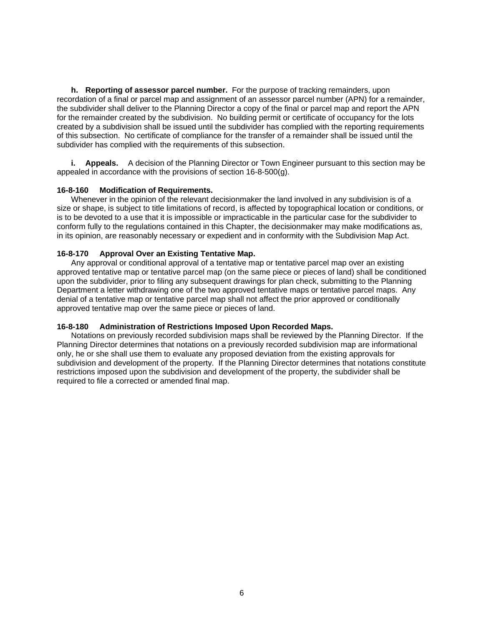<span id="page-6-0"></span>**h. Reporting of assessor parcel number.** For the purpose of tracking remainders, upon recordation of a final or parcel map and assignment of an assessor parcel number (APN) for a remainder, the subdivider shall deliver to the Planning Director a copy of the final or parcel map and report the APN for the remainder created by the subdivision. No building permit or certificate of occupancy for the lots created by a subdivision shall be issued until the subdivider has complied with the reporting requirements of this subsection. No certificate of compliance for the transfer of a remainder shall be issued until the subdivider has complied with the requirements of this subsection.

**i. Appeals.** A decision of the Planning Director or Town Engineer pursuant to this section may be appealed in accordance with the provisions of section 16-8-500(g).

#### **16-8-160 Modification of Requirements.**

 Whenever in the opinion of the relevant decisionmaker the land involved in any subdivision is of a size or shape, is subject to title limitations of record, is affected by topographical location or conditions, or is to be devoted to a use that it is impossible or impracticable in the particular case for the subdivider to conform fully to the regulations contained in this Chapter, the decisionmaker may make modifications as, in its opinion, are reasonably necessary or expedient and in conformity with the Subdivision Map Act.

#### **16-8-170 Approval Over an Existing Tentative Map.**

 Any approval or conditional approval of a tentative map or tentative parcel map over an existing approved tentative map or tentative parcel map (on the same piece or pieces of land) shall be conditioned upon the subdivider, prior to filing any subsequent drawings for plan check, submitting to the Planning Department a letter withdrawing one of the two approved tentative maps or tentative parcel maps. Any denial of a tentative map or tentative parcel map shall not affect the prior approved or conditionally approved tentative map over the same piece or pieces of land.

## **16-8-180 Administration of Restrictions Imposed Upon Recorded Maps.**

 Notations on previously recorded subdivision maps shall be reviewed by the Planning Director. If the Planning Director determines that notations on a previously recorded subdivision map are informational only, he or she shall use them to evaluate any proposed deviation from the existing approvals for subdivision and development of the property. If the Planning Director determines that notations constitute restrictions imposed upon the subdivision and development of the property, the subdivider shall be required to file a corrected or amended final map.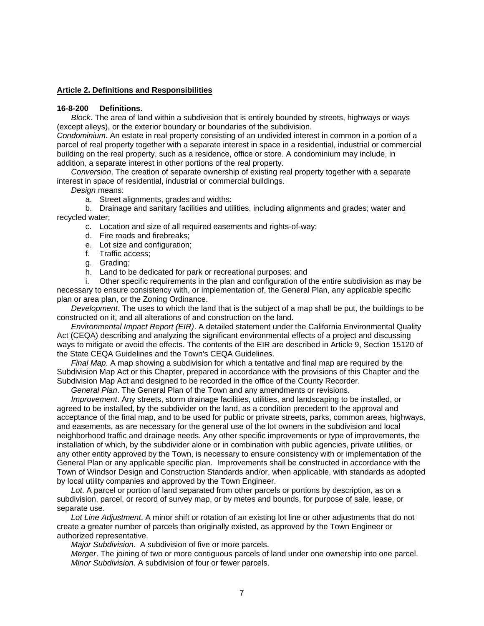## <span id="page-7-0"></span>**Article 2. Definitions and Responsibilities**

## **16-8-200 Definitions.**

*Block*. The area of land within a subdivision that is entirely bounded by streets, highways or ways (except alleys), or the exterior boundary or boundaries of the subdivision.

*Condominium*. An estate in real property consisting of an undivided interest in common in a portion of a parcel of real property together with a separate interest in space in a residential, industrial or commercial building on the real property, such as a residence, office or store. A condominium may include, in addition, a separate interest in other portions of the real property.

*Conversion*. The creation of separate ownership of existing real property together with a separate interest in space of residential, industrial or commercial buildings.

*Design* means:

a. Street alignments, grades and widths:

 b. Drainage and sanitary facilities and utilities, including alignments and grades; water and recycled water;

- c. Location and size of all required easements and rights-of-way;
- d. Fire roads and firebreaks;
- e. Lot size and configuration;
- f. Traffic access;
- g. Grading;
- h. Land to be dedicated for park or recreational purposes: and

 i. Other specific requirements in the plan and configuration of the entire subdivision as may be necessary to ensure consistency with, or implementation of, the General Plan, any applicable specific plan or area plan, or the Zoning Ordinance.

*Development*. The uses to which the land that is the subject of a map shall be put, the buildings to be constructed on it, and all alterations of and construction on the land.

*Environmental Impact Report (EIR)*. A detailed statement under the California Environmental Quality Act (CEQA) describing and analyzing the significant environmental effects of a project and discussing ways to mitigate or avoid the effects. The contents of the EIR are described in Article 9, Section 15120 of the State CEQA Guidelines and the Town's CEQA Guidelines.

*Final Map*. A map showing a subdivision for which a tentative and final map are required by the Subdivision Map Act or this Chapter, prepared in accordance with the provisions of this Chapter and the Subdivision Map Act and designed to be recorded in the office of the County Recorder.

*General Plan*. The General Plan of the Town and any amendments or revisions.

*Improvement*. Any streets, storm drainage facilities, utilities, and landscaping to be installed, or agreed to be installed, by the subdivider on the land, as a condition precedent to the approval and acceptance of the final map, and to be used for public or private streets, parks, common areas, highways, and easements, as are necessary for the general use of the lot owners in the subdivision and local neighborhood traffic and drainage needs. Any other specific improvements or type of improvements, the installation of which, by the subdivider alone or in combination with public agencies, private utilities, or any other entity approved by the Town, is necessary to ensure consistency with or implementation of the General Plan or any applicable specific plan. Improvements shall be constructed in accordance with the Town of Windsor Design and Construction Standards and/or, when applicable, with standards as adopted by local utility companies and approved by the Town Engineer.

*Lot*. A parcel or portion of land separated from other parcels or portions by description, as on a subdivision, parcel, or record of survey map, or by metes and bounds, for purpose of sale, lease, or separate use.

*Lot Line Adjustment*. A minor shift or rotation of an existing lot line or other adjustments that do not create a greater number of parcels than originally existed, as approved by the Town Engineer or authorized representative.

*Major Subdivision.* A subdivision of five or more parcels.

*Merger*. The joining of two or more contiguous parcels of land under one ownership into one parcel. *Minor Subdivision*. A subdivision of four or fewer parcels.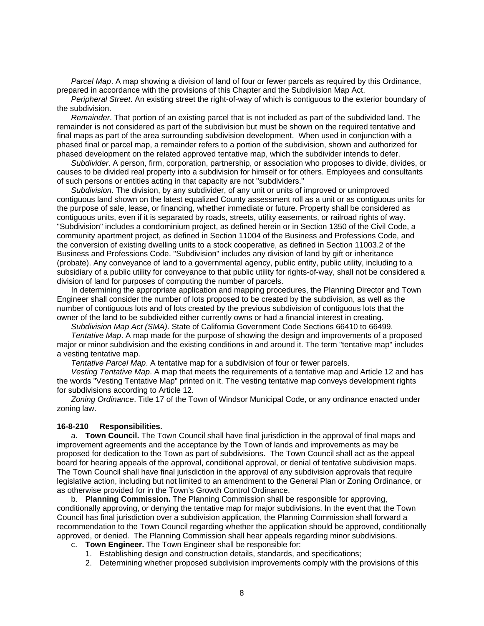<span id="page-8-0"></span>*Parcel Map*. A map showing a division of land of four or fewer parcels as required by this Ordinance, prepared in accordance with the provisions of this Chapter and the Subdivision Map Act.

*Peripheral Street*. An existing street the right-of-way of which is contiguous to the exterior boundary of the subdivision.

*Remainder*. That portion of an existing parcel that is not included as part of the subdivided land. The remainder is not considered as part of the subdivision but must be shown on the required tentative and final maps as part of the area surrounding subdivision development. When used in conjunction with a phased final or parcel map, a remainder refers to a portion of the subdivision, shown and authorized for phased development on the related approved tentative map, which the subdivider intends to defer.

*Subdivider*. A person, firm, corporation, partnership, or association who proposes to divide, divides, or causes to be divided real property into a subdivision for himself or for others. Employees and consultants of such persons or entities acting in that capacity are not "subdividers."

*Subdivision*. The division, by any subdivider, of any unit or units of improved or unimproved contiguous land shown on the latest equalized County assessment roll as a unit or as contiguous units for the purpose of sale, lease, or financing, whether immediate or future. Property shall be considered as contiguous units, even if it is separated by roads, streets, utility easements, or railroad rights of way. "Subdivision" includes a condominium project, as defined herein or in Section 1350 of the Civil Code, a community apartment project, as defined in Section 11004 of the Business and Professions Code, and the conversion of existing dwelling units to a stock cooperative, as defined in Section 11003.2 of the Business and Professions Code. "Subdivision" includes any division of land by gift or inheritance (probate). Any conveyance of land to a governmental agency, public entity, public utility, including to a subsidiary of a public utility for conveyance to that public utility for rights-of-way, shall not be considered a division of land for purposes of computing the number of parcels.

 In determining the appropriate application and mapping procedures, the Planning Director and Town Engineer shall consider the number of lots proposed to be created by the subdivision, as well as the number of contiguous lots and of lots created by the previous subdivision of contiguous lots that the owner of the land to be subdivided either currently owns or had a financial interest in creating.

*Subdivision Map Act (SMA)*. State of California Government Code Sections 66410 to 66499.

*Tentative Map*. A map made for the purpose of showing the design and improvements of a proposed major or minor subdivision and the existing conditions in and around it. The term "tentative map" includes a vesting tentative map.

*Tentative Parcel Map*. A tentative map for a subdivision of four or fewer parcels.

*Vesting Tentative Map*. A map that meets the requirements of a tentative map and Article 12 and has the words "Vesting Tentative Map" printed on it. The vesting tentative map conveys development rights for subdivisions according to Article 12.

*Zoning Ordinance*. Title 17 of the Town of Windsor Municipal Code, or any ordinance enacted under zoning law.

#### **16-8-210 Responsibilities.**

 a. **Town Council.** The Town Council shall have final jurisdiction in the approval of final maps and improvement agreements and the acceptance by the Town of lands and improvements as may be proposed for dedication to the Town as part of subdivisions. The Town Council shall act as the appeal board for hearing appeals of the approval, conditional approval, or denial of tentative subdivision maps. The Town Council shall have final jurisdiction in the approval of any subdivision approvals that require legislative action, including but not limited to an amendment to the General Plan or Zoning Ordinance, or as otherwise provided for in the Town's Growth Control Ordinance.

 b. **Planning Commission.** The Planning Commission shall be responsible for approving, conditionally approving, or denying the tentative map for major subdivisions. In the event that the Town Council has final jurisdiction over a subdivision application, the Planning Commission shall forward a recommendation to the Town Council regarding whether the application should be approved, conditionally approved, or denied. The Planning Commission shall hear appeals regarding minor subdivisions.

- c. **Town Engineer.** The Town Engineer shall be responsible for:
	- 1. Establishing design and construction details, standards, and specifications;
	- 2. Determining whether proposed subdivision improvements comply with the provisions of this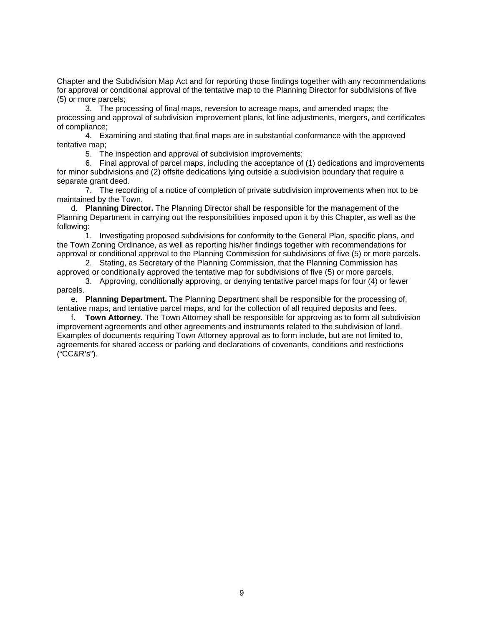Chapter and the Subdivision Map Act and for reporting those findings together with any recommendations for approval or conditional approval of the tentative map to the Planning Director for subdivisions of five (5) or more parcels;

 3. The processing of final maps, reversion to acreage maps, and amended maps; the processing and approval of subdivision improvement plans, lot line adjustments, mergers, and certificates of compliance;

 4. Examining and stating that final maps are in substantial conformance with the approved tentative map;

5. The inspection and approval of subdivision improvements;

 6. Final approval of parcel maps, including the acceptance of (1) dedications and improvements for minor subdivisions and (2) offsite dedications lying outside a subdivision boundary that require a separate grant deed.

 7. The recording of a notice of completion of private subdivision improvements when not to be maintained by the Town.

 d. **Planning Director.** The Planning Director shall be responsible for the management of the Planning Department in carrying out the responsibilities imposed upon it by this Chapter, as well as the following:

 1. Investigating proposed subdivisions for conformity to the General Plan, specific plans, and the Town Zoning Ordinance, as well as reporting his/her findings together with recommendations for approval or conditional approval to the Planning Commission for subdivisions of five (5) or more parcels.

 2. Stating, as Secretary of the Planning Commission, that the Planning Commission has approved or conditionally approved the tentative map for subdivisions of five (5) or more parcels.

 3. Approving, conditionally approving, or denying tentative parcel maps for four (4) or fewer parcels.

 e. **Planning Department.** The Planning Department shall be responsible for the processing of, tentative maps, and tentative parcel maps, and for the collection of all required deposits and fees.

 f. **Town Attorney.** The Town Attorney shall be responsible for approving as to form all subdivision improvement agreements and other agreements and instruments related to the subdivision of land. Examples of documents requiring Town Attorney approval as to form include, but are not limited to, agreements for shared access or parking and declarations of covenants, conditions and restrictions ("CC&R's").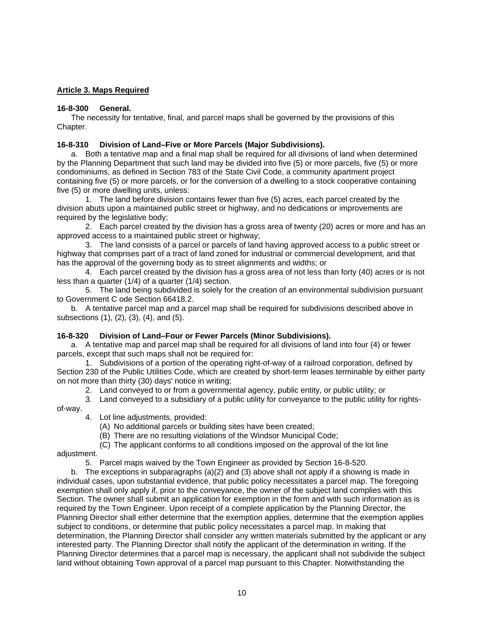# <span id="page-10-0"></span>**Article 3. Maps Required**

## **16-8-300 General.**

 The necessity for tentative, final, and parcel maps shall be governed by the provisions of this Chapter.

## **16-8-310 Division of Land–Five or More Parcels (Major Subdivisions).**

 a. Both a tentative map and a final map shall be required for all divisions of land when determined by the Planning Department that such land may be divided into five (5) or more parcels, five (5) or more condominiums, as defined in Section 783 of the State Civil Code, a community apartment project containing five (5) or more parcels, or for the conversion of a dwelling to a stock cooperative containing five (5) or more dwelling units, unless:

 1. The land before division contains fewer than five (5) acres, each parcel created by the division abuts upon a maintained public street or highway, and no dedications or improvements are required by the legislative body;

 2. Each parcel created by the division has a gross area of twenty (20) acres or more and has an approved access to a maintained public street or highway;

 3. The land consists of a parcel or parcels of land having approved access to a public street or highway that comprises part of a tract of land zoned for industrial or commercial development, and that has the approval of the governing body as to street alignments and widths; or

 4. Each parcel created by the division has a gross area of not less than forty (40) acres or is not less than a quarter (1/4) of a quarter (1/4) section.

 5. The land being subdivided is solely for the creation of an environmental subdivision pursuant to Government C ode Section 66418.2.

 b. A tentative parcel map and a parcel map shall be required for subdivisions described above in subsections (1), (2), (3), (4), and (5).

## **16-8-320 Division of Land–Four or Fewer Parcels (Minor Subdivisions).**

 a. A tentative map and parcel map shall be required for all divisions of land into four (4) or fewer parcels, except that such maps shall not be required for:

 1. Subdivisions of a portion of the operating right-of-way of a railroad corporation, defined by Section 230 of the Public Utilities Code, which are created by short-term leases terminable by either party on not more than thirty (30) days' notice in writing;

2. Land conveyed to or from a governmental agency, public entity, or public utility; or

3. Land conveyed to a subsidiary of a public utility for conveyance to the public utility for rights-

of-way.

4. Lot line adjustments, provided:

(A) No additional parcels or building sites have been created;

(B) There are no resulting violations of the Windsor Municipal Code;

(C) The applicant conforms to all conditions imposed on the approval of the lot line

adjustment.

5. Parcel maps waived by the Town Engineer as provided by Section 16-8-520.

b. The exceptions in subparagraphs  $(a)(2)$  and  $(3)$  above shall not apply if a showing is made in individual cases, upon substantial evidence, that public policy necessitates a parcel map. The foregoing exemption shall only apply if, prior to the conveyance, the owner of the subject land complies with this Section. The owner shall submit an application for exemption in the form and with such information as is required by the Town Engineer. Upon receipt of a complete application by the Planning Director, the Planning Director shall either determine that the exemption applies, determine that the exemption applies subject to conditions, or determine that public policy necessitates a parcel map. In making that determination, the Planning Director shall consider any written materials submitted by the applicant or any interested party. The Planning Director shall notify the applicant of the determination in writing. If the Planning Director determines that a parcel map is necessary, the applicant shall not subdivide the subject land without obtaining Town approval of a parcel map pursuant to this Chapter. Notwithstanding the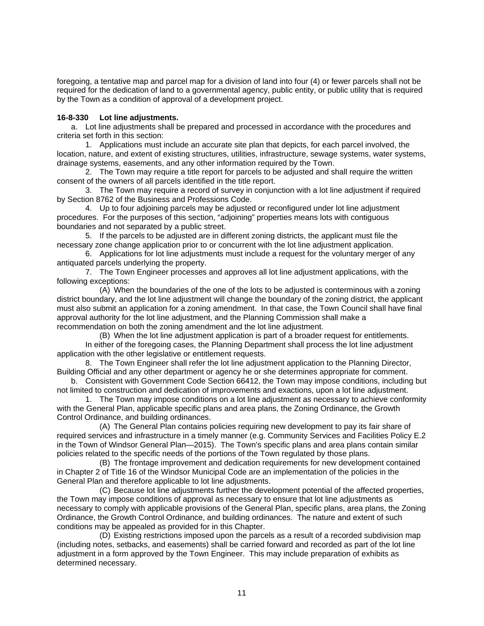<span id="page-11-0"></span>foregoing, a tentative map and parcel map for a division of land into four (4) or fewer parcels shall not be required for the dedication of land to a governmental agency, public entity, or public utility that is required by the Town as a condition of approval of a development project.

## **16-8-330 Lot line adjustments.**

 a. Lot line adjustments shall be prepared and processed in accordance with the procedures and criteria set forth in this section:

 1. Applications must include an accurate site plan that depicts, for each parcel involved, the location, nature, and extent of existing structures, utilities, infrastructure, sewage systems, water systems, drainage systems, easements, and any other information required by the Town.

 2. The Town may require a title report for parcels to be adjusted and shall require the written consent of the owners of all parcels identified in the title report.

 3. The Town may require a record of survey in conjunction with a lot line adjustment if required by Section 8762 of the Business and Professions Code.

 4. Up to four adjoining parcels may be adjusted or reconfigured under lot line adjustment procedures. For the purposes of this section, "adjoining" properties means lots with contiguous boundaries and not separated by a public street.

 5. If the parcels to be adjusted are in different zoning districts, the applicant must file the necessary zone change application prior to or concurrent with the lot line adjustment application.

 6. Applications for lot line adjustments must include a request for the voluntary merger of any antiquated parcels underlying the property.

 7. The Town Engineer processes and approves all lot line adjustment applications, with the following exceptions:

 (A) When the boundaries of the one of the lots to be adjusted is conterminous with a zoning district boundary, and the lot line adjustment will change the boundary of the zoning district, the applicant must also submit an application for a zoning amendment. In that case, the Town Council shall have final approval authority for the lot line adjustment, and the Planning Commission shall make a recommendation on both the zoning amendment and the lot line adjustment.

 (B) When the lot line adjustment application is part of a broader request for entitlements. In either of the foregoing cases, the Planning Department shall process the lot line adjustment application with the other legislative or entitlement requests.

 8. The Town Engineer shall refer the lot line adjustment application to the Planning Director, Building Official and any other department or agency he or she determines appropriate for comment.

 b. Consistent with Government Code Section 66412, the Town may impose conditions, including but not limited to construction and dedication of improvements and exactions, upon a lot line adjustment.

 1. The Town may impose conditions on a lot line adjustment as necessary to achieve conformity with the General Plan, applicable specific plans and area plans, the Zoning Ordinance, the Growth Control Ordinance, and building ordinances.

 (A) The General Plan contains policies requiring new development to pay its fair share of required services and infrastructure in a timely manner (e.g. Community Services and Facilities Policy E.2 in the Town of Windsor General Plan—2015). The Town's specific plans and area plans contain similar policies related to the specific needs of the portions of the Town regulated by those plans.

 (B) The frontage improvement and dedication requirements for new development contained in Chapter 2 of Title 16 of the Windsor Municipal Code are an implementation of the policies in the General Plan and therefore applicable to lot line adjustments.

 (C) Because lot line adjustments further the development potential of the affected properties, the Town may impose conditions of approval as necessary to ensure that lot line adjustments as necessary to comply with applicable provisions of the General Plan, specific plans, area plans, the Zoning Ordinance, the Growth Control Ordinance, and building ordinances. The nature and extent of such conditions may be appealed as provided for in this Chapter.

 (D) Existing restrictions imposed upon the parcels as a result of a recorded subdivision map (including notes, setbacks, and easements) shall be carried forward and recorded as part of the lot line adjustment in a form approved by the Town Engineer. This may include preparation of exhibits as determined necessary.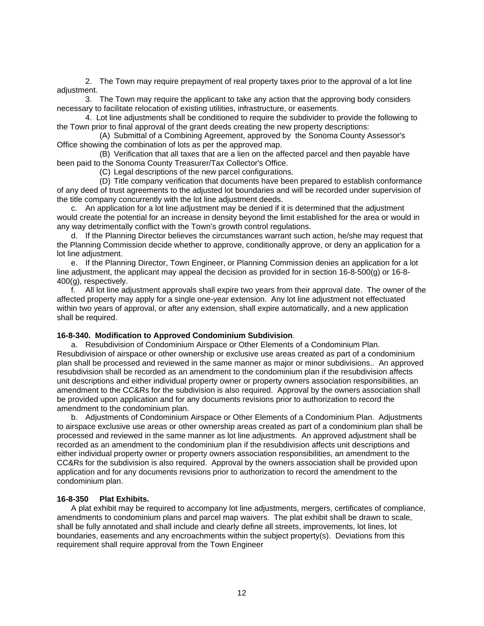<span id="page-12-0"></span> 2. The Town may require prepayment of real property taxes prior to the approval of a lot line adiustment.

 3. The Town may require the applicant to take any action that the approving body considers necessary to facilitate relocation of existing utilities, infrastructure, or easements.

 4. Lot line adjustments shall be conditioned to require the subdivider to provide the following to the Town prior to final approval of the grant deeds creating the new property descriptions:

 (A) Submittal of a Combining Agreement, approved by the Sonoma County Assessor's Office showing the combination of lots as per the approved map.

 (B) Verification that all taxes that are a lien on the affected parcel and then payable have been paid to the Sonoma County Treasurer/Tax Collector's Office.

(C) Legal descriptions of the new parcel configurations.

 (D) Title company verification that documents have been prepared to establish conformance of any deed of trust agreements to the adjusted lot boundaries and will be recorded under supervision of the title company concurrently with the lot line adjustment deeds.

 c. An application for a lot line adjustment may be denied if it is determined that the adjustment would create the potential for an increase in density beyond the limit established for the area or would in any way detrimentally conflict with the Town's growth control regulations.

 d. If the Planning Director believes the circumstances warrant such action, he/she may request that the Planning Commission decide whether to approve, conditionally approve, or deny an application for a lot line adjustment.

 e. If the Planning Director, Town Engineer, or Planning Commission denies an application for a lot line adjustment, the applicant may appeal the decision as provided for in section 16-8-500(g) or 16-8- 400(g), respectively.

 f. All lot line adjustment approvals shall expire two years from their approval date. The owner of the affected property may apply for a single one-year extension. Any lot line adjustment not effectuated within two years of approval, or after any extension, shall expire automatically, and a new application shall be required.

#### **16-8-340. Modification to Approved Condominium Subdivision**.

 a. Resubdivision of Condominium Airspace or Other Elements of a Condominium Plan. Resubdivision of airspace or other ownership or exclusive use areas created as part of a condominium plan shall be processed and reviewed in the same manner as major or minor subdivisions.. An approved resubdivision shall be recorded as an amendment to the condominium plan if the resubdivision affects unit descriptions and either individual property owner or property owners association responsibilities, an amendment to the CC&Rs for the subdivision is also required. Approval by the owners association shall be provided upon application and for any documents revisions prior to authorization to record the amendment to the condominium plan.

 b. Adjustments of Condominium Airspace or Other Elements of a Condominium Plan. Adjustments to airspace exclusive use areas or other ownership areas created as part of a condominium plan shall be processed and reviewed in the same manner as lot line adjustments. An approved adjustment shall be recorded as an amendment to the condominium plan if the resubdivision affects unit descriptions and either individual property owner or property owners association responsibilities, an amendment to the CC&Rs for the subdivision is also required. Approval by the owners association shall be provided upon application and for any documents revisions prior to authorization to record the amendment to the condominium plan.

#### **16-8-350 Plat Exhibits.**

 A plat exhibit may be required to accompany lot line adjustments, mergers, certificates of compliance, amendments to condominium plans and parcel map waivers. The plat exhibit shall be drawn to scale, shall be fully annotated and shall include and clearly define all streets, improvements, lot lines, lot boundaries, easements and any encroachments within the subject property(s). Deviations from this requirement shall require approval from the Town Engineer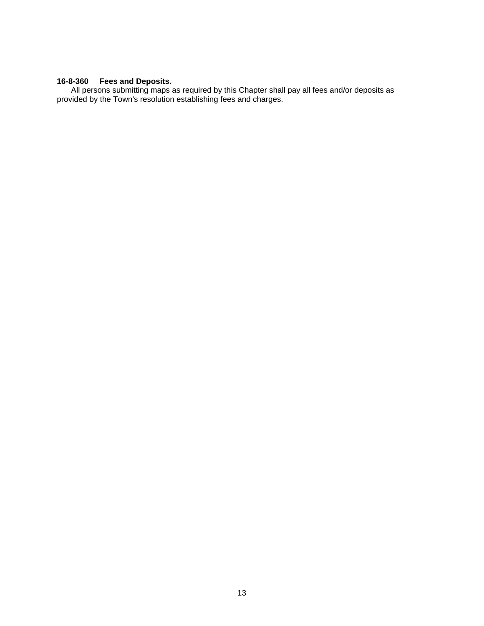## <span id="page-13-0"></span>**16-8-360 Fees and Deposits.**

 All persons submitting maps as required by this Chapter shall pay all fees and/or deposits as provided by the Town's resolution establishing fees and charges.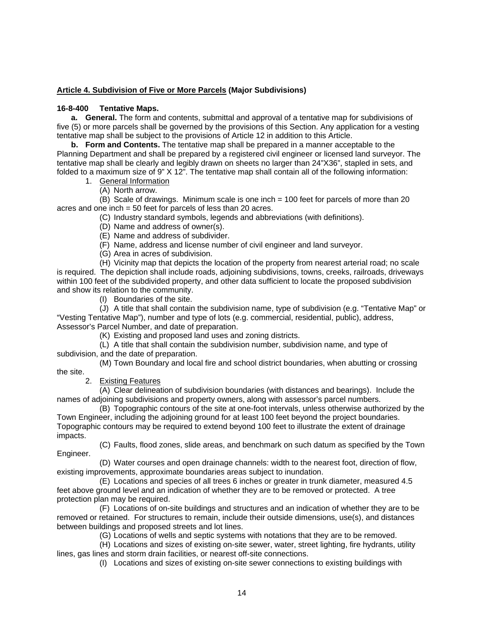## <span id="page-14-0"></span>**Article 4. Subdivision of Five or More Parcels (Major Subdivisions)**

## **16-8-400 Tentative Maps.**

**a. General.** The form and contents, submittal and approval of a tentative map for subdivisions of five (5) or more parcels shall be governed by the provisions of this Section. Any application for a vesting tentative map shall be subject to the provisions of Article 12 in addition to this Article.

**b. Form and Contents.** The tentative map shall be prepared in a manner acceptable to the Planning Department and shall be prepared by a registered civil engineer or licensed land surveyor. The tentative map shall be clearly and legibly drawn on sheets no larger than 24"X36", stapled in sets, and folded to a maximum size of 9" X 12". The tentative map shall contain all of the following information:

- 1. General Information
	- (A) North arrow.

(B) Scale of drawings. Minimum scale is one inch = 100 feet for parcels of more than 20 acres and one inch = 50 feet for parcels of less than 20 acres.

(C) Industry standard symbols, legends and abbreviations (with definitions).

- (D) Name and address of owner(s).
- (E) Name and address of subdivider.
- (F) Name, address and license number of civil engineer and land surveyor.
- (G) Area in acres of subdivision.

(H) Vicinity map that depicts the location of the property from nearest arterial road; no scale is required. The depiction shall include roads, adjoining subdivisions, towns, creeks, railroads, driveways within 100 feet of the subdivided property, and other data sufficient to locate the proposed subdivision and show its relation to the community.

(I) Boundaries of the site.

(J) A title that shall contain the subdivision name, type of subdivision (e.g. "Tentative Map" or "Vesting Tentative Map"), number and type of lots (e.g. commercial, residential, public), address, Assessor's Parcel Number, and date of preparation.

(K) Existing and proposed land uses and zoning districts.

(L) A title that shall contain the subdivision number, subdivision name, and type of subdivision, and the date of preparation.

(M) Town Boundary and local fire and school district boundaries, when abutting or crossing the site.

2. Existing Features

(A) Clear delineation of subdivision boundaries (with distances and bearings). Include the names of adjoining subdivisions and property owners, along with assessor's parcel numbers.

(B) Topographic contours of the site at one-foot intervals, unless otherwise authorized by the Town Engineer, including the adjoining ground for at least 100 feet beyond the project boundaries. Topographic contours may be required to extend beyond 100 feet to illustrate the extent of drainage impacts.

(C) Faults, flood zones, slide areas, and benchmark on such datum as specified by the Town Engineer.

(D) Water courses and open drainage channels: width to the nearest foot, direction of flow, existing improvements, approximate boundaries areas subject to inundation.

(E) Locations and species of all trees 6 inches or greater in trunk diameter, measured 4.5 feet above ground level and an indication of whether they are to be removed or protected. A tree protection plan may be required.

(F) Locations of on-site buildings and structures and an indication of whether they are to be removed or retained. For structures to remain, include their outside dimensions, use(s), and distances between buildings and proposed streets and lot lines.

(G) Locations of wells and septic systems with notations that they are to be removed.

(H) Locations and sizes of existing on-site sewer, water, street lighting, fire hydrants, utility lines, gas lines and storm drain facilities, or nearest off-site connections.

(I) Locations and sizes of existing on-site sewer connections to existing buildings with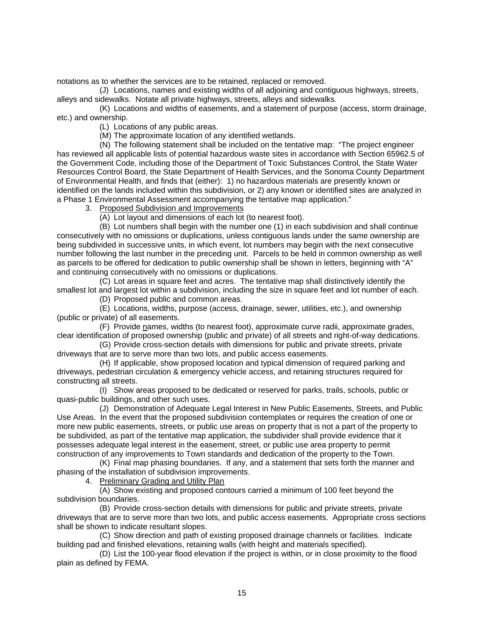notations as to whether the services are to be retained, replaced or removed.

(J) Locations, names and existing widths of all adjoining and contiguous highways, streets, alleys and sidewalks. Notate all private highways, streets, alleys and sidewalks.

(K) Locations and widths of easements, and a statement of purpose (access, storm drainage, etc.) and ownership.

(L) Locations of any public areas.

(M) The approximate location of any identified wetlands.

(N) The following statement shall be included on the tentative map: "The project engineer has reviewed all applicable lists of potential hazardous waste sites in accordance with Section 65962.5 of the Government Code, including those of the Department of Toxic Substances Control, the State Water Resources Control Board, the State Department of Health Services, and the Sonoma County Department of Environmental Health, and finds that (either): 1) no hazardous materials are presently known or identified on the lands included within this subdivision, or 2) any known or identified sites are analyzed in a Phase 1 Environmental Assessment accompanying the tentative map application."

3. Proposed Subdivision and Improvements

(A) Lot layout and dimensions of each lot (to nearest foot).

(B) Lot numbers shall begin with the number one (1) in each subdivision and shall continue consecutively with no omissions or duplications, unless contiguous lands under the same ownership are being subdivided in successive units, in which event, lot numbers may begin with the next consecutive number following the last number in the preceding unit. Parcels to be held in common ownership as well as parcels to be offered for dedication to public ownership shall be shown in letters, beginning with "A" and continuing consecutively with no omissions or duplications.

(C) Lot areas in square feet and acres. The tentative map shall distinctively identify the smallest lot and largest lot within a subdivision, including the size in square feet and lot number of each.

(D) Proposed public and common areas.

(E) Locations, widths, purpose (access, drainage, sewer, utilities, etc.), and ownership (public or private) of all easements.

(F) Provide names, widths (to nearest foot), approximate curve radii, approximate grades, clear identification of proposed ownership (public and private) of all streets and right-of-way dedications.

(G) Provide cross-section details with dimensions for public and private streets, private driveways that are to serve more than two lots, and public access easements.

(H) If applicable, show proposed location and typical dimension of required parking and driveways, pedestrian circulation & emergency vehicle access, and retaining structures required for constructing all streets.

(I) Show areas proposed to be dedicated or reserved for parks, trails, schools, public or quasi-public buildings, and other such uses.

(J) Demonstration of Adequate Legal Interest in New Public Easements, Streets, and Public Use Areas. In the event that the proposed subdivision contemplates or requires the creation of one or more new public easements, streets, or public use areas on property that is not a part of the property to be subdivided, as part of the tentative map application, the subdivider shall provide evidence that it possesses adequate legal interest in the easement, street, or public use area property to permit construction of any improvements to Town standards and dedication of the property to the Town.

(K) Final map phasing boundaries. If any, and a statement that sets forth the manner and phasing of the installation of subdivision improvements.

4. Preliminary Grading and Utility Plan

(A) Show existing and proposed contours carried a minimum of 100 feet beyond the subdivision boundaries.

(B) Provide cross-section details with dimensions for public and private streets, private driveways that are to serve more than two lots, and public access easements. Appropriate cross sections shall be shown to indicate resultant slopes.

(C) Show direction and path of existing proposed drainage channels or facilities. Indicate building pad and finished elevations, retaining walls (with height and materials specified).

(D) List the 100-year flood elevation if the project is within, or in close proximity to the flood plain as defined by FEMA.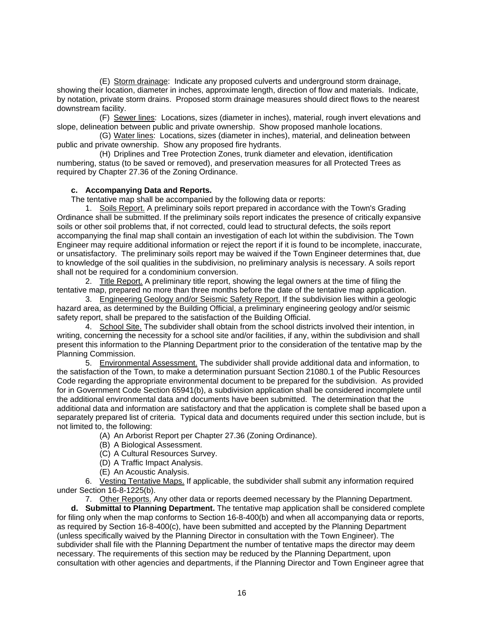(E) Storm drainage: Indicate any proposed culverts and underground storm drainage, showing their location, diameter in inches, approximate length, direction of flow and materials. Indicate, by notation, private storm drains. Proposed storm drainage measures should direct flows to the nearest downstream facility.

(F) Sewer lines: Locations, sizes (diameter in inches), material, rough invert elevations and slope, delineation between public and private ownership. Show proposed manhole locations.

(G) Water lines: Locations, sizes (diameter in inches), material, and delineation between public and private ownership. Show any proposed fire hydrants.

(H) Driplines and Tree Protection Zones, trunk diameter and elevation, identification numbering, status (to be saved or removed), and preservation measures for all Protected Trees as required by Chapter 27.36 of the Zoning Ordinance.

#### **c. Accompanying Data and Reports.**

The tentative map shall be accompanied by the following data or reports:

 1. Soils Report. A preliminary soils report prepared in accordance with the Town's Grading Ordinance shall be submitted. If the preliminary soils report indicates the presence of critically expansive soils or other soil problems that, if not corrected, could lead to structural defects, the soils report accompanying the final map shall contain an investigation of each lot within the subdivision. The Town Engineer may require additional information or reject the report if it is found to be incomplete, inaccurate, or unsatisfactory. The preliminary soils report may be waived if the Town Engineer determines that, due to knowledge of the soil qualities in the subdivision, no preliminary analysis is necessary. A soils report shall not be required for a condominium conversion.

 2. Title Report. A preliminary title report, showing the legal owners at the time of filing the tentative map, prepared no more than three months before the date of the tentative map application.

 3. Engineering Geology and/or Seismic Safety Report. If the subdivision lies within a geologic hazard area, as determined by the Building Official, a preliminary engineering geology and/or seismic safety report, shall be prepared to the satisfaction of the Building Official.

 4. School Site. The subdivider shall obtain from the school districts involved their intention, in writing, concerning the necessity for a school site and/or facilities, if any, within the subdivision and shall present this information to the Planning Department prior to the consideration of the tentative map by the Planning Commission.

 5. Environmental Assessment. The subdivider shall provide additional data and information, to the satisfaction of the Town, to make a determination pursuant Section 21080.1 of the Public Resources Code regarding the appropriate environmental document to be prepared for the subdivision. As provided for in Government Code Section 65941(b), a subdivision application shall be considered incomplete until the additional environmental data and documents have been submitted. The determination that the additional data and information are satisfactory and that the application is complete shall be based upon a separately prepared list of criteria. Typical data and documents required under this section include, but is not limited to, the following:

(A) An Arborist Report per Chapter 27.36 (Zoning Ordinance).

(B) A Biological Assessment.

(C) A Cultural Resources Survey.

- (D) A Traffic Impact Analysis.
- (E) An Acoustic Analysis.

 6. Vesting Tentative Maps. If applicable, the subdivider shall submit any information required under Section 16-8-1225(b).

7. Other Reports. Any other data or reports deemed necessary by the Planning Department.

**d. Submittal to Planning Department.** The tentative map application shall be considered complete for filing only when the map conforms to Section 16-8-400(b) and when all accompanying data or reports, as required by Section 16-8-400(c), have been submitted and accepted by the Planning Department (unless specifically waived by the Planning Director in consultation with the Town Engineer). The subdivider shall file with the Planning Department the number of tentative maps the director may deem necessary. The requirements of this section may be reduced by the Planning Department, upon consultation with other agencies and departments, if the Planning Director and Town Engineer agree that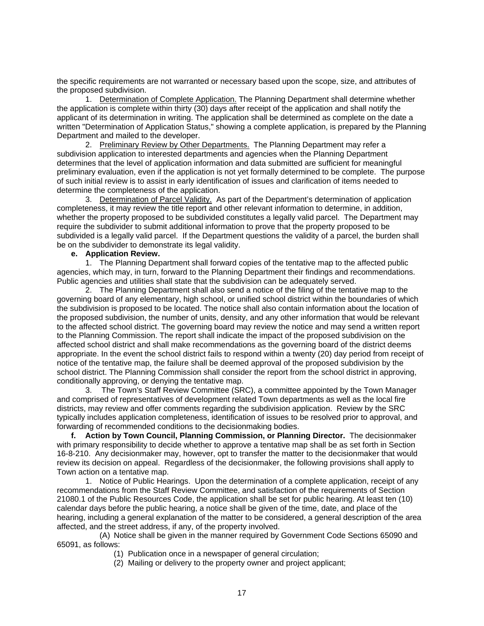the specific requirements are not warranted or necessary based upon the scope, size, and attributes of the proposed subdivision.

1. Determination of Complete Application. The Planning Department shall determine whether the application is complete within thirty (30) days after receipt of the application and shall notify the applicant of its determination in writing. The application shall be determined as complete on the date a written "Determination of Application Status," showing a complete application, is prepared by the Planning Department and mailed to the developer.

2. Preliminary Review by Other Departments. The Planning Department may refer a subdivision application to interested departments and agencies when the Planning Department determines that the level of application information and data submitted are sufficient for meaningful preliminary evaluation, even if the application is not yet formally determined to be complete. The purpose of such initial review is to assist in early identification of issues and clarification of items needed to determine the completeness of the application.

 3. Determination of Parcel Validity. As part of the Department's determination of application completeness, it may review the title report and other relevant information to determine, in addition, whether the property proposed to be subdivided constitutes a legally valid parcel. The Department may require the subdivider to submit additional information to prove that the property proposed to be subdivided is a legally valid parcel. If the Department questions the validity of a parcel, the burden shall be on the subdivider to demonstrate its legal validity.

#### **e. Application Review.**

 1. The Planning Department shall forward copies of the tentative map to the affected public agencies, which may, in turn, forward to the Planning Department their findings and recommendations. Public agencies and utilities shall state that the subdivision can be adequately served.

 2. The Planning Department shall also send a notice of the filing of the tentative map to the governing board of any elementary, high school, or unified school district within the boundaries of which the subdivision is proposed to be located. The notice shall also contain information about the location of the proposed subdivision, the number of units, density, and any other information that would be relevant to the affected school district. The governing board may review the notice and may send a written report to the Planning Commission. The report shall indicate the impact of the proposed subdivision on the affected school district and shall make recommendations as the governing board of the district deems appropriate. In the event the school district fails to respond within a twenty (20) day period from receipt of notice of the tentative map, the failure shall be deemed approval of the proposed subdivision by the school district. The Planning Commission shall consider the report from the school district in approving, conditionally approving, or denying the tentative map.

 3. The Town's Staff Review Committee (SRC), a committee appointed by the Town Manager and comprised of representatives of development related Town departments as well as the local fire districts, may review and offer comments regarding the subdivision application. Review by the SRC typically includes application completeness, identification of issues to be resolved prior to approval, and forwarding of recommended conditions to the decisionmaking bodies.

**f. Action by Town Council, Planning Commission, or Planning Director.** The decisionmaker with primary responsibility to decide whether to approve a tentative map shall be as set forth in Section 16-8-210. Any decisionmaker may, however, opt to transfer the matter to the decisionmaker that would review its decision on appeal. Regardless of the decisionmaker, the following provisions shall apply to Town action on a tentative map.

 1. Notice of Public Hearings. Upon the determination of a complete application, receipt of any recommendations from the Staff Review Committee, and satisfaction of the requirements of Section 21080.1 of the Public Resources Code, the application shall be set for public hearing. At least ten (10) calendar days before the public hearing, a notice shall be given of the time, date, and place of the hearing, including a general explanation of the matter to be considered, a general description of the area affected, and the street address, if any, of the property involved.

 (A) Notice shall be given in the manner required by Government Code Sections 65090 and 65091, as follows:

- (1) Publication once in a newspaper of general circulation;
- (2) Mailing or delivery to the property owner and project applicant;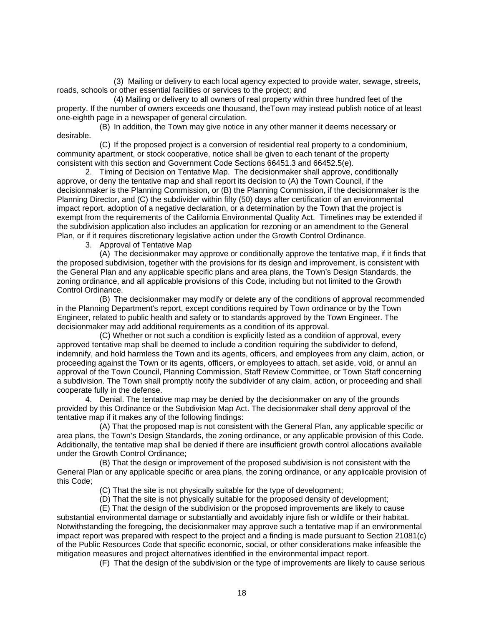(3) Mailing or delivery to each local agency expected to provide water, sewage, streets, roads, schools or other essential facilities or services to the project; and

 (4) Mailing or delivery to all owners of real property within three hundred feet of the property. If the number of owners exceeds one thousand, theTown may instead publish notice of at least one-eighth page in a newspaper of general circulation.

 (B) In addition, the Town may give notice in any other manner it deems necessary or desirable.

 (C) If the proposed project is a conversion of residential real property to a condominium, community apartment, or stock cooperative, notice shall be given to each tenant of the property consistent with this section and Government Code Sections 66451.3 and 66452.5(e).

 2. Timing of Decision on Tentative Map. The decisionmaker shall approve, conditionally approve, or deny the tentative map and shall report its decision to (A) the Town Council, if the decisionmaker is the Planning Commission, or (B) the Planning Commission, if the decisionmaker is the Planning Director, and (C) the subdivider within fifty (50) days after certification of an environmental impact report, adoption of a negative declaration, or a determination by the Town that the project is exempt from the requirements of the California Environmental Quality Act. Timelines may be extended if the subdivision application also includes an application for rezoning or an amendment to the General Plan, or if it requires discretionary legislative action under the Growth Control Ordinance.

3. Approval of Tentative Map

 (A) The decisionmaker may approve or conditionally approve the tentative map, if it finds that the proposed subdivision, together with the provisions for its design and improvement, is consistent with the General Plan and any applicable specific plans and area plans, the Town's Design Standards, the zoning ordinance, and all applicable provisions of this Code, including but not limited to the Growth Control Ordinance.

 (B) The decisionmaker may modify or delete any of the conditions of approval recommended in the Planning Department's report, except conditions required by Town ordinance or by the Town Engineer, related to public health and safety or to standards approved by the Town Engineer. The decisionmaker may add additional requirements as a condition of its approval.

 (C) Whether or not such a condition is explicitly listed as a condition of approval, every approved tentative map shall be deemed to include a condition requiring the subdivider to defend, indemnify, and hold harmless the Town and its agents, officers, and employees from any claim, action, or proceeding against the Town or its agents, officers, or employees to attach, set aside, void, or annul an approval of the Town Council, Planning Commission, Staff Review Committee, or Town Staff concerning a subdivision. The Town shall promptly notify the subdivider of any claim, action, or proceeding and shall cooperate fully in the defense.

 4. Denial. The tentative map may be denied by the decisionmaker on any of the grounds provided by this Ordinance or the Subdivision Map Act. The decisionmaker shall deny approval of the tentative map if it makes any of the following findings:

 (A) That the proposed map is not consistent with the General Plan, any applicable specific or area plans, the Town's Design Standards, the zoning ordinance, or any applicable provision of this Code. Additionally, the tentative map shall be denied if there are insufficient growth control allocations available under the Growth Control Ordinance;

 (B) That the design or improvement of the proposed subdivision is not consistent with the General Plan or any applicable specific or area plans, the zoning ordinance, or any applicable provision of this Code;

(C) That the site is not physically suitable for the type of development;

(D) That the site is not physically suitable for the proposed density of development;

 (E) That the design of the subdivision or the proposed improvements are likely to cause substantial environmental damage or substantially and avoidably injure fish or wildlife or their habitat. Notwithstanding the foregoing, the decisionmaker may approve such a tentative map if an environmental impact report was prepared with respect to the project and a finding is made pursuant to Section 21081(c) of the Public Resources Code that specific economic, social, or other considerations make infeasible the mitigation measures and project alternatives identified in the environmental impact report.

(F) That the design of the subdivision or the type of improvements are likely to cause serious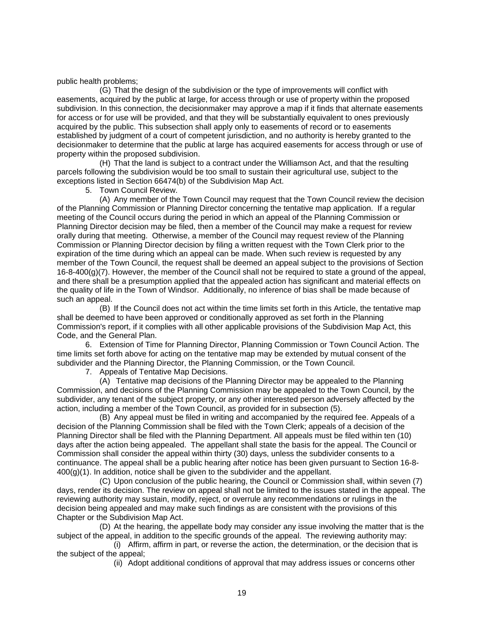public health problems;

 (G) That the design of the subdivision or the type of improvements will conflict with easements, acquired by the public at large, for access through or use of property within the proposed subdivision. In this connection, the decisionmaker may approve a map if it finds that alternate easements for access or for use will be provided, and that they will be substantially equivalent to ones previously acquired by the public. This subsection shall apply only to easements of record or to easements established by judgment of a court of competent jurisdiction, and no authority is hereby granted to the decisionmaker to determine that the public at large has acquired easements for access through or use of property within the proposed subdivision.

 (H) That the land is subject to a contract under the Williamson Act, and that the resulting parcels following the subdivision would be too small to sustain their agricultural use, subject to the exceptions listed in Section 66474(b) of the Subdivision Map Act.

5. Town Council Review.

 (A) Any member of the Town Council may request that the Town Council review the decision of the Planning Commission or Planning Director concerning the tentative map application. If a regular meeting of the Council occurs during the period in which an appeal of the Planning Commission or Planning Director decision may be filed, then a member of the Council may make a request for review orally during that meeting. Otherwise, a member of the Council may request review of the Planning Commission or Planning Director decision by filing a written request with the Town Clerk prior to the expiration of the time during which an appeal can be made. When such review is requested by any member of the Town Council, the request shall be deemed an appeal subject to the provisions of Section  $16-8-400(g)(7)$ . However, the member of the Council shall not be required to state a ground of the appeal, and there shall be a presumption applied that the appealed action has significant and material effects on the quality of life in the Town of Windsor. Additionally, no inference of bias shall be made because of such an appeal.

 (B) If the Council does not act within the time limits set forth in this Article, the tentative map shall be deemed to have been approved or conditionally approved as set forth in the Planning Commission's report, if it complies with all other applicable provisions of the Subdivision Map Act, this Code, and the General Plan.

 6. Extension of Time for Planning Director, Planning Commission or Town Council Action. The time limits set forth above for acting on the tentative map may be extended by mutual consent of the subdivider and the Planning Director, the Planning Commission, or the Town Council.

7. Appeals of Tentative Map Decisions.

 (A) Tentative map decisions of the Planning Director may be appealed to the Planning Commission, and decisions of the Planning Commission may be appealed to the Town Council, by the subdivider, any tenant of the subject property, or any other interested person adversely affected by the action, including a member of the Town Council, as provided for in subsection (5).

 (B) Any appeal must be filed in writing and accompanied by the required fee. Appeals of a decision of the Planning Commission shall be filed with the Town Clerk; appeals of a decision of the Planning Director shall be filed with the Planning Department. All appeals must be filed within ten (10) days after the action being appealed. The appellant shall state the basis for the appeal. The Council or Commission shall consider the appeal within thirty (30) days, unless the subdivider consents to a continuance. The appeal shall be a public hearing after notice has been given pursuant to Section 16-8-  $400(g)(1)$ . In addition, notice shall be given to the subdivider and the appellant.

 (C) Upon conclusion of the public hearing, the Council or Commission shall, within seven (7) days, render its decision. The review on appeal shall not be limited to the issues stated in the appeal. The reviewing authority may sustain, modify, reject, or overrule any recommendations or rulings in the decision being appealed and may make such findings as are consistent with the provisions of this Chapter or the Subdivision Map Act.

 (D) At the hearing, the appellate body may consider any issue involving the matter that is the subject of the appeal, in addition to the specific grounds of the appeal. The reviewing authority may:

 (i) Affirm, affirm in part, or reverse the action, the determination, or the decision that is the subject of the appeal;

(ii) Adopt additional conditions of approval that may address issues or concerns other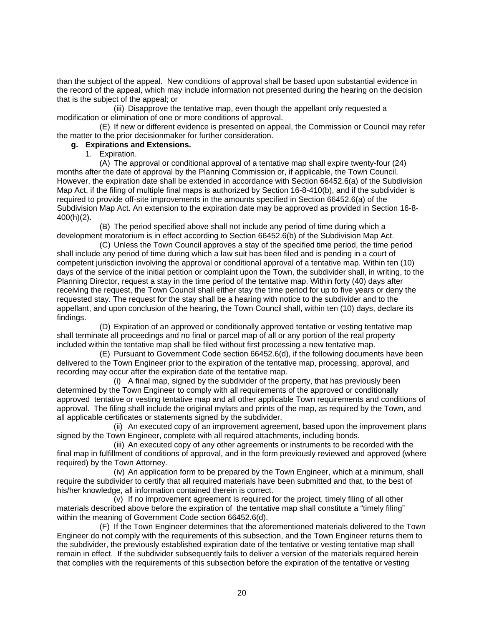than the subject of the appeal. New conditions of approval shall be based upon substantial evidence in the record of the appeal, which may include information not presented during the hearing on the decision that is the subject of the appeal; or

 (iii) Disapprove the tentative map, even though the appellant only requested a modification or elimination of one or more conditions of approval.

 (E) If new or different evidence is presented on appeal, the Commission or Council may refer the matter to the prior decisionmaker for further consideration.

## **g. Expirations and Extensions.**

1. Expiration.

 (A) The approval or conditional approval of a tentative map shall expire twenty-four (24) months after the date of approval by the Planning Commission or, if applicable, the Town Council. However, the expiration date shall be extended in accordance with Section 66452.6(a) of the Subdivision Map Act, if the filing of multiple final maps is authorized by Section 16-8-410(b), and if the subdivider is required to provide off-site improvements in the amounts specified in Section 66452.6(a) of the Subdivision Map Act. An extension to the expiration date may be approved as provided in Section 16-8- 400(h)(2).

 (B) The period specified above shall not include any period of time during which a development moratorium is in effect according to Section 66452.6(b) of the Subdivision Map Act.

 (C) Unless the Town Council approves a stay of the specified time period, the time period shall include any period of time during which a law suit has been filed and is pending in a court of competent jurisdiction involving the approval or conditional approval of a tentative map. Within ten (10) days of the service of the initial petition or complaint upon the Town, the subdivider shall, in writing, to the Planning Director, request a stay in the time period of the tentative map. Within forty (40) days after receiving the request, the Town Council shall either stay the time period for up to five years or deny the requested stay. The request for the stay shall be a hearing with notice to the subdivider and to the appellant, and upon conclusion of the hearing, the Town Council shall, within ten (10) days, declare its findings.

 (D) Expiration of an approved or conditionally approved tentative or vesting tentative map shall terminate all proceedings and no final or parcel map of all or any portion of the real property included within the tentative map shall be filed without first processing a new tentative map.

 (E) Pursuant to Government Code section 66452.6(d), if the following documents have been delivered to the Town Engineer prior to the expiration of the tentative map, processing, approval, and recording may occur after the expiration date of the tentative map.

 (i) A final map, signed by the subdivider of the property, that has previously been determined by the Town Engineer to comply with all requirements of the approved or conditionally approved tentative or vesting tentative map and all other applicable Town requirements and conditions of approval. The filing shall include the original mylars and prints of the map, as required by the Town, and all applicable certificates or statements signed by the subdivider.

 (ii) An executed copy of an improvement agreement, based upon the improvement plans signed by the Town Engineer, complete with all required attachments, including bonds.

 (iii) An executed copy of any other agreements or instruments to be recorded with the final map in fulfillment of conditions of approval, and in the form previously reviewed and approved (where required) by the Town Attorney.

 (iv) An application form to be prepared by the Town Engineer, which at a minimum, shall require the subdivider to certify that all required materials have been submitted and that, to the best of his/her knowledge, all information contained therein is correct.

 (v) If no improvement agreement is required for the project, timely filing of all other materials described above before the expiration of the tentative map shall constitute a "timely filing" within the meaning of Government Code section 66452.6(d).

 (F) If the Town Engineer determines that the aforementioned materials delivered to the Town Engineer do not comply with the requirements of this subsection, and the Town Engineer returns them to the subdivider, the previously established expiration date of the tentative or vesting tentative map shall remain in effect. If the subdivider subsequently fails to deliver a version of the materials required herein that complies with the requirements of this subsection before the expiration of the tentative or vesting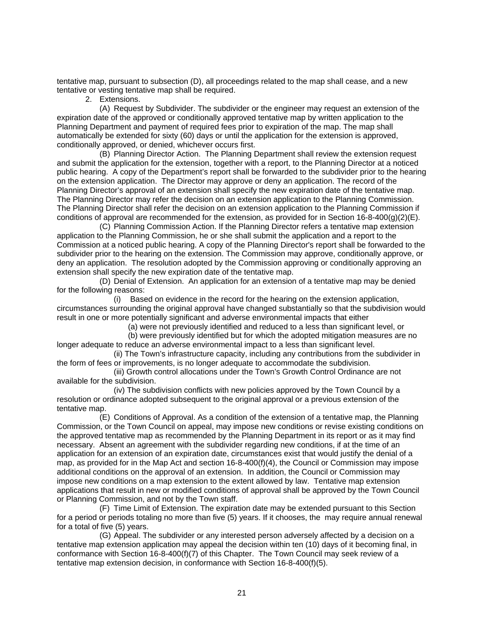tentative map, pursuant to subsection (D), all proceedings related to the map shall cease, and a new tentative or vesting tentative map shall be required.

2. Extensions.

 (A) Request by Subdivider. The subdivider or the engineer may request an extension of the expiration date of the approved or conditionally approved tentative map by written application to the Planning Department and payment of required fees prior to expiration of the map. The map shall automatically be extended for sixty (60) days or until the application for the extension is approved, conditionally approved, or denied, whichever occurs first.

 (B) Planning Director Action. The Planning Department shall review the extension request and submit the application for the extension, together with a report, to the Planning Director at a noticed public hearing. A copy of the Department's report shall be forwarded to the subdivider prior to the hearing on the extension application. The Director may approve or deny an application. The record of the Planning Director's approval of an extension shall specify the new expiration date of the tentative map. The Planning Director may refer the decision on an extension application to the Planning Commission. The Planning Director shall refer the decision on an extension application to the Planning Commission if conditions of approval are recommended for the extension, as provided for in Section  $16-8-400(g)(2)(E)$ .

 (C) Planning Commission Action. If the Planning Director refers a tentative map extension application to the Planning Commission, he or she shall submit the application and a report to the Commission at a noticed public hearing. A copy of the Planning Director's report shall be forwarded to the subdivider prior to the hearing on the extension. The Commission may approve, conditionally approve, or deny an application. The resolution adopted by the Commission approving or conditionally approving an extension shall specify the new expiration date of the tentative map.

 (D) Denial of Extension. An application for an extension of a tentative map may be denied for the following reasons:

(i) Based on evidence in the record for the hearing on the extension application, circumstances surrounding the original approval have changed substantially so that the subdivision would result in one or more potentially significant and adverse environmental impacts that either

(a) were not previously identified and reduced to a less than significant level, or

 (b) were previously identified but for which the adopted mitigation measures are no longer adequate to reduce an adverse environmental impact to a less than significant level.

(ii) The Town's infrastructure capacity, including any contributions from the subdivider in the form of fees or improvements, is no longer adequate to accommodate the subdivision.

(iii) Growth control allocations under the Town's Growth Control Ordinance are not available for the subdivision.

(iv) The subdivision conflicts with new policies approved by the Town Council by a resolution or ordinance adopted subsequent to the original approval or a previous extension of the tentative map.

 (E) Conditions of Approval. As a condition of the extension of a tentative map, the Planning Commission, or the Town Council on appeal, may impose new conditions or revise existing conditions on the approved tentative map as recommended by the Planning Department in its report or as it may find necessary. Absent an agreement with the subdivider regarding new conditions, if at the time of an application for an extension of an expiration date, circumstances exist that would justify the denial of a map, as provided for in the Map Act and section 16-8-400(f)(4), the Council or Commission may impose additional conditions on the approval of an extension. In addition, the Council or Commission may impose new conditions on a map extension to the extent allowed by law. Tentative map extension applications that result in new or modified conditions of approval shall be approved by the Town Council or Planning Commission, and not by the Town staff.

 (F) Time Limit of Extension. The expiration date may be extended pursuant to this Section for a period or periods totaling no more than five (5) years. If it chooses, the may require annual renewal for a total of five (5) years.

 (G) Appeal. The subdivider or any interested person adversely affected by a decision on a tentative map extension application may appeal the decision within ten (10) days of it becoming final, in conformance with Section 16-8-400(f)(7) of this Chapter. The Town Council may seek review of a tentative map extension decision, in conformance with Section 16-8-400(f)(5).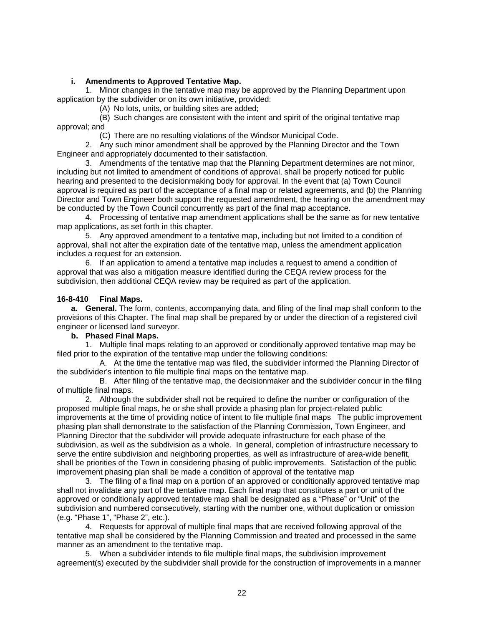## **i. Amendments to Approved Tentative Map.**

<span id="page-22-0"></span> 1. Minor changes in the tentative map may be approved by the Planning Department upon application by the subdivider or on its own initiative, provided:

(A) No lots, units, or building sites are added;

 (B) Such changes are consistent with the intent and spirit of the original tentative map approval; and

(C) There are no resulting violations of the Windsor Municipal Code.

 2. Any such minor amendment shall be approved by the Planning Director and the Town Engineer and appropriately documented to their satisfaction.

 3. Amendments of the tentative map that the Planning Department determines are not minor, including but not limited to amendment of conditions of approval, shall be properly noticed for public hearing and presented to the decisionmaking body for approval. In the event that (a) Town Council approval is required as part of the acceptance of a final map or related agreements, and (b) the Planning Director and Town Engineer both support the requested amendment, the hearing on the amendment may be conducted by the Town Council concurrently as part of the final map acceptance.

 4. Processing of tentative map amendment applications shall be the same as for new tentative map applications, as set forth in this chapter.

 5. Any approved amendment to a tentative map, including but not limited to a condition of approval, shall not alter the expiration date of the tentative map, unless the amendment application includes a request for an extension.

 6. If an application to amend a tentative map includes a request to amend a condition of approval that was also a mitigation measure identified during the CEQA review process for the subdivision, then additional CEQA review may be required as part of the application.

## **16-8-410 Final Maps.**

**a. General.** The form, contents, accompanying data, and filing of the final map shall conform to the provisions of this Chapter. The final map shall be prepared by or under the direction of a registered civil engineer or licensed land surveyor.

#### **b. Phased Final Maps.**

1. Multiple final maps relating to an approved or conditionally approved tentative map may be filed prior to the expiration of the tentative map under the following conditions:

A. At the time the tentative map was filed, the subdivider informed the Planning Director of the subdivider's intention to file multiple final maps on the tentative map.

B. After filing of the tentative map, the decisionmaker and the subdivider concur in the filing of multiple final maps.

2. Although the subdivider shall not be required to define the number or configuration of the proposed multiple final maps, he or she shall provide a phasing plan for project-related public improvements at the time of providing notice of intent to file multiple final maps The public improvement phasing plan shall demonstrate to the satisfaction of the Planning Commission, Town Engineer, and Planning Director that the subdivider will provide adequate infrastructure for each phase of the subdivision, as well as the subdivision as a whole. In general, completion of infrastructure necessary to serve the entire subdivision and neighboring properties, as well as infrastructure of area-wide benefit, shall be priorities of the Town in considering phasing of public improvements. Satisfaction of the public improvement phasing plan shall be made a condition of approval of the tentative map

3. The filing of a final map on a portion of an approved or conditionally approved tentative map shall not invalidate any part of the tentative map. Each final map that constitutes a part or unit of the approved or conditionally approved tentative map shall be designated as a "Phase" or "Unit" of the subdivision and numbered consecutively, starting with the number one, without duplication or omission (e.g. "Phase 1", "Phase 2", etc.).

4. Requests for approval of multiple final maps that are received following approval of the tentative map shall be considered by the Planning Commission and treated and processed in the same manner as an amendment to the tentative map.

5. When a subdivider intends to file multiple final maps, the subdivision improvement agreement(s) executed by the subdivider shall provide for the construction of improvements in a manner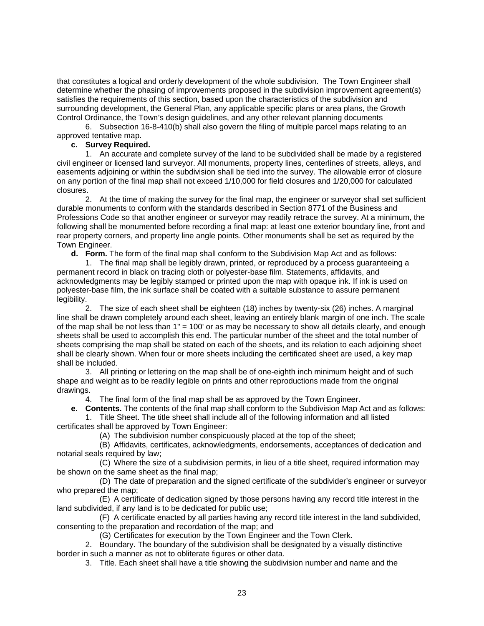that constitutes a logical and orderly development of the whole subdivision. The Town Engineer shall determine whether the phasing of improvements proposed in the subdivision improvement agreement(s) satisfies the requirements of this section, based upon the characteristics of the subdivision and surrounding development, the General Plan, any applicable specific plans or area plans, the Growth Control Ordinance, the Town's design guidelines, and any other relevant planning documents

6. Subsection 16-8-410(b) shall also govern the filing of multiple parcel maps relating to an approved tentative map.

#### **c. Survey Required.**

1. An accurate and complete survey of the land to be subdivided shall be made by a registered civil engineer or licensed land surveyor. All monuments, property lines, centerlines of streets, alleys, and easements adjoining or within the subdivision shall be tied into the survey. The allowable error of closure on any portion of the final map shall not exceed 1/10,000 for field closures and 1/20,000 for calculated closures.

2. At the time of making the survey for the final map, the engineer or surveyor shall set sufficient durable monuments to conform with the standards described in Section 8771 of the Business and Professions Code so that another engineer or surveyor may readily retrace the survey. At a minimum, the following shall be monumented before recording a final map: at least one exterior boundary line, front and rear property corners, and property line angle points. Other monuments shall be set as required by the Town Engineer.

**d. Form.** The form of the final map shall conform to the Subdivision Map Act and as follows:

1. The final map shall be legibly drawn, printed, or reproduced by a process guaranteeing a permanent record in black on tracing cloth or polyester-base film. Statements, affidavits, and acknowledgments may be legibly stamped or printed upon the map with opaque ink. If ink is used on polyester-base film, the ink surface shall be coated with a suitable substance to assure permanent legibility.

2. The size of each sheet shall be eighteen (18) inches by twenty-six (26) inches. A marginal line shall be drawn completely around each sheet, leaving an entirely blank margin of one inch. The scale of the map shall be not less than 1" = 100' or as may be necessary to show all details clearly, and enough sheets shall be used to accomplish this end. The particular number of the sheet and the total number of sheets comprising the map shall be stated on each of the sheets, and its relation to each adjoining sheet shall be clearly shown. When four or more sheets including the certificated sheet are used, a key map shall be included.

3. All printing or lettering on the map shall be of one-eighth inch minimum height and of such shape and weight as to be readily legible on prints and other reproductions made from the original drawings.

4. The final form of the final map shall be as approved by the Town Engineer.

**e. Contents.** The contents of the final map shall conform to the Subdivision Map Act and as follows:

 1. Title Sheet. The title sheet shall include all of the following information and all listed certificates shall be approved by Town Engineer:

(A) The subdivision number conspicuously placed at the top of the sheet;

(B) Affidavits, certificates, acknowledgments, endorsements, acceptances of dedication and notarial seals required by law;

(C) Where the size of a subdivision permits, in lieu of a title sheet, required information may be shown on the same sheet as the final map;

(D) The date of preparation and the signed certificate of the subdivider's engineer or surveyor who prepared the map;

(E) A certificate of dedication signed by those persons having any record title interest in the land subdivided, if any land is to be dedicated for public use;

(F) A certificate enacted by all parties having any record title interest in the land subdivided, consenting to the preparation and recordation of the map; and

(G) Certificates for execution by the Town Engineer and the Town Clerk.

2. Boundary. The boundary of the subdivision shall be designated by a visually distinctive border in such a manner as not to obliterate figures or other data.

3. Title. Each sheet shall have a title showing the subdivision number and name and the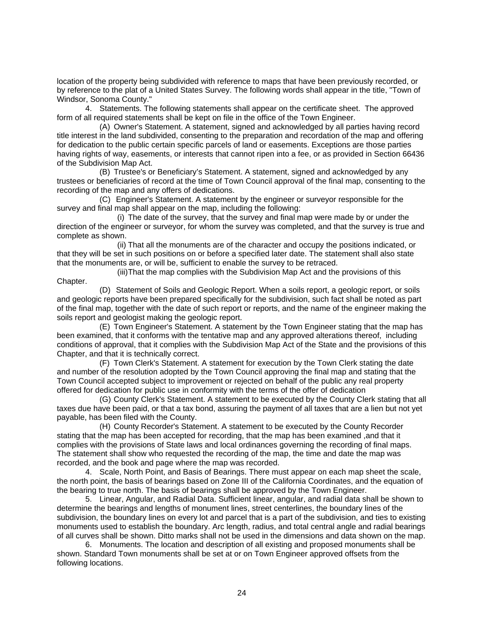location of the property being subdivided with reference to maps that have been previously recorded, or by reference to the plat of a United States Survey. The following words shall appear in the title, "Town of Windsor, Sonoma County."

 4. Statements. The following statements shall appear on the certificate sheet. The approved form of all required statements shall be kept on file in the office of the Town Engineer.

 (A) Owner's Statement. A statement, signed and acknowledged by all parties having record title interest in the land subdivided, consenting to the preparation and recordation of the map and offering for dedication to the public certain specific parcels of land or easements. Exceptions are those parties having rights of way, easements, or interests that cannot ripen into a fee, or as provided in Section 66436 of the Subdivision Map Act.

 (B) Trustee's or Beneficiary's Statement. A statement, signed and acknowledged by any trustees or beneficiaries of record at the time of Town Council approval of the final map, consenting to the recording of the map and any offers of dedications.

 (C) Engineer's Statement. A statement by the engineer or surveyor responsible for the survey and final map shall appear on the map, including the following:

(i) The date of the survey, that the survey and final map were made by or under the direction of the engineer or surveyor, for whom the survey was completed, and that the survey is true and complete as shown.

(ii) That all the monuments are of the character and occupy the positions indicated, or that they will be set in such positions on or before a specified later date. The statement shall also state that the monuments are, or will be, sufficient to enable the survey to be retraced.

(iii) That the map complies with the Subdivision Map Act and the provisions of this Chapter.

 (D) Statement of Soils and Geologic Report. When a soils report, a geologic report, or soils and geologic reports have been prepared specifically for the subdivision, such fact shall be noted as part of the final map, together with the date of such report or reports, and the name of the engineer making the soils report and geologist making the geologic report.

 (E) Town Engineer's Statement. A statement by the Town Engineer stating that the map has been examined, that it conforms with the tentative map and any approved alterations thereof, including conditions of approval, that it complies with the Subdivision Map Act of the State and the provisions of this Chapter, and that it is technically correct.

 (F) Town Clerk's Statement. A statement for execution by the Town Clerk stating the date and number of the resolution adopted by the Town Council approving the final map and stating that the Town Council accepted subject to improvement or rejected on behalf of the public any real property offered for dedication for public use in conformity with the terms of the offer of dedication

 (G) County Clerk's Statement. A statement to be executed by the County Clerk stating that all taxes due have been paid, or that a tax bond, assuring the payment of all taxes that are a lien but not yet payable, has been filed with the County.

 (H) County Recorder's Statement. A statement to be executed by the County Recorder stating that the map has been accepted for recording, that the map has been examined ,and that it complies with the provisions of State laws and local ordinances governing the recording of final maps. The statement shall show who requested the recording of the map, the time and date the map was recorded, and the book and page where the map was recorded.

 4. Scale, North Point, and Basis of Bearings. There must appear on each map sheet the scale, the north point, the basis of bearings based on Zone III of the California Coordinates, and the equation of the bearing to true north. The basis of bearings shall be approved by the Town Engineer.

 5. Linear, Angular, and Radial Data. Sufficient linear, angular, and radial data shall be shown to determine the bearings and lengths of monument lines, street centerlines, the boundary lines of the subdivision, the boundary lines on every lot and parcel that is a part of the subdivision, and ties to existing monuments used to establish the boundary. Arc length, radius, and total central angle and radial bearings of all curves shall be shown. Ditto marks shall not be used in the dimensions and data shown on the map.

 6. Monuments. The location and description of all existing and proposed monuments shall be shown. Standard Town monuments shall be set at or on Town Engineer approved offsets from the following locations.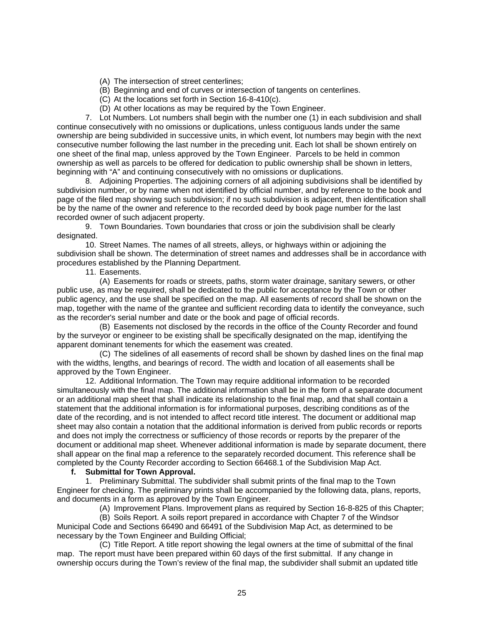- (A) The intersection of street centerlines;
- (B) Beginning and end of curves or intersection of tangents on centerlines.
- (C) At the locations set forth in Section 16-8-410(c).
- (D) At other locations as may be required by the Town Engineer.

 7. Lot Numbers. Lot numbers shall begin with the number one (1) in each subdivision and shall continue consecutively with no omissions or duplications, unless contiguous lands under the same ownership are being subdivided in successive units, in which event, lot numbers may begin with the next consecutive number following the last number in the preceding unit. Each lot shall be shown entirely on one sheet of the final map, unless approved by the Town Engineer. Parcels to be held in common ownership as well as parcels to be offered for dedication to public ownership shall be shown in letters, beginning with "A" and continuing consecutively with no omissions or duplications.

 8. Adjoining Properties. The adjoining corners of all adjoining subdivisions shall be identified by subdivision number, or by name when not identified by official number, and by reference to the book and page of the filed map showing such subdivision; if no such subdivision is adjacent, then identification shall be by the name of the owner and reference to the recorded deed by book page number for the last recorded owner of such adjacent property.

 9. Town Boundaries. Town boundaries that cross or join the subdivision shall be clearly designated.

 10. Street Names. The names of all streets, alleys, or highways within or adjoining the subdivision shall be shown. The determination of street names and addresses shall be in accordance with procedures established by the Planning Department.

11. Easements.

 (A) Easements for roads or streets, paths, storm water drainage, sanitary sewers, or other public use, as may be required, shall be dedicated to the public for acceptance by the Town or other public agency, and the use shall be specified on the map. All easements of record shall be shown on the map, together with the name of the grantee and sufficient recording data to identify the conveyance, such as the recorder's serial number and date or the book and page of official records.

 (B) Easements not disclosed by the records in the office of the County Recorder and found by the surveyor or engineer to be existing shall be specifically designated on the map, identifying the apparent dominant tenements for which the easement was created.

 (C) The sidelines of all easements of record shall be shown by dashed lines on the final map with the widths, lengths, and bearings of record. The width and location of all easements shall be approved by the Town Engineer.

 12. Additional Information. The Town may require additional information to be recorded simultaneously with the final map. The additional information shall be in the form of a separate document or an additional map sheet that shall indicate its relationship to the final map, and that shall contain a statement that the additional information is for informational purposes, describing conditions as of the date of the recording, and is not intended to affect record title interest. The document or additional map sheet may also contain a notation that the additional information is derived from public records or reports and does not imply the correctness or sufficiency of those records or reports by the preparer of the document or additional map sheet. Whenever additional information is made by separate document, there shall appear on the final map a reference to the separately recorded document. This reference shall be completed by the County Recorder according to Section 66468.1 of the Subdivision Map Act.

## **f. Submittal for Town Approval.**

 1. Preliminary Submittal. The subdivider shall submit prints of the final map to the Town Engineer for checking. The preliminary prints shall be accompanied by the following data, plans, reports, and documents in a form as approved by the Town Engineer.

(A) Improvement Plans. Improvement plans as required by Section 16-8-825 of this Chapter;

 (B) Soils Report. A soils report prepared in accordance with Chapter 7 of the Windsor Municipal Code and Sections 66490 and 66491 of the Subdivision Map Act, as determined to be necessary by the Town Engineer and Building Official;

 (C) Title Report. A title report showing the legal owners at the time of submittal of the final map. The report must have been prepared within 60 days of the first submittal. If any change in ownership occurs during the Town's review of the final map, the subdivider shall submit an updated title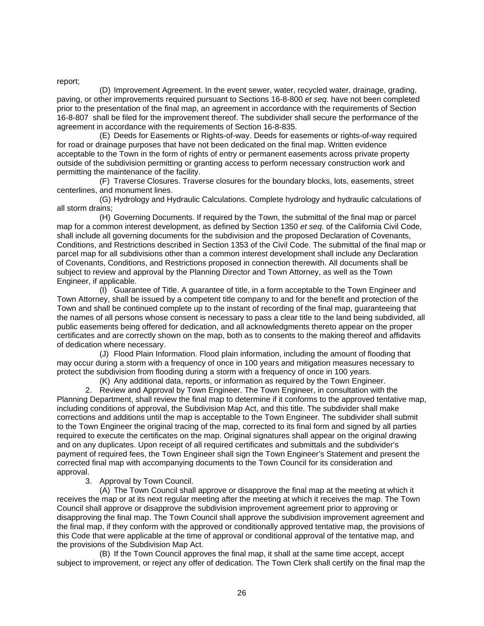report;

 (D) Improvement Agreement. In the event sewer, water, recycled water, drainage, grading, paving, or other improvements required pursuant to Sections 16-8-800 *et seq.* have not been completed prior to the presentation of the final map, an agreement in accordance with the requirements of Section 16-8-807 shall be filed for the improvement thereof. The subdivider shall secure the performance of the agreement in accordance with the requirements of Section 16-8-835.

 (E) Deeds for Easements or Rights-of-way. Deeds for easements or rights-of-way required for road or drainage purposes that have not been dedicated on the final map. Written evidence acceptable to the Town in the form of rights of entry or permanent easements across private property outside of the subdivision permitting or granting access to perform necessary construction work and permitting the maintenance of the facility.

 (F) Traverse Closures. Traverse closures for the boundary blocks, lots, easements, street centerlines, and monument lines.

 (G) Hydrology and Hydraulic Calculations. Complete hydrology and hydraulic calculations of all storm drains;

 (H) Governing Documents. If required by the Town, the submittal of the final map or parcel map for a common interest development, as defined by Section 1350 *et seq.* of the California Civil Code, shall include all governing documents for the subdivision and the proposed Declaration of Covenants, Conditions, and Restrictions described in Section 1353 of the Civil Code. The submittal of the final map or parcel map for all subdivisions other than a common interest development shall include any Declaration of Covenants, Conditions, and Restrictions proposed in connection therewith. All documents shall be subject to review and approval by the Planning Director and Town Attorney, as well as the Town Engineer, if applicable.

 (I) Guarantee of Title. A guarantee of title, in a form acceptable to the Town Engineer and Town Attorney, shall be issued by a competent title company to and for the benefit and protection of the Town and shall be continued complete up to the instant of recording of the final map, guaranteeing that the names of all persons whose consent is necessary to pass a clear title to the land being subdivided, all public easements being offered for dedication, and all acknowledgments thereto appear on the proper certificates and are correctly shown on the map, both as to consents to the making thereof and affidavits of dedication where necessary.

 (J) Flood Plain Information. Flood plain information, including the amount of flooding that may occur during a storm with a frequency of once in 100 years and mitigation measures necessary to protect the subdivision from flooding during a storm with a frequency of once in 100 years.

(K) Any additional data, reports, or information as required by the Town Engineer.

 2. Review and Approval by Town Engineer. The Town Engineer, in consultation with the Planning Department, shall review the final map to determine if it conforms to the approved tentative map, including conditions of approval, the Subdivision Map Act, and this title. The subdivider shall make corrections and additions until the map is acceptable to the Town Engineer. The subdivider shall submit to the Town Engineer the original tracing of the map, corrected to its final form and signed by all parties required to execute the certificates on the map. Original signatures shall appear on the original drawing and on any duplicates. Upon receipt of all required certificates and submittals and the subdivider's payment of required fees, the Town Engineer shall sign the Town Engineer's Statement and present the corrected final map with accompanying documents to the Town Council for its consideration and approval.

3. Approval by Town Council.

(A) The Town Council shall approve or disapprove the final map at the meeting at which it receives the map or at its next regular meeting after the meeting at which it receives the map. The Town Council shall approve or disapprove the subdivision improvement agreement prior to approving or disapproving the final map. The Town Council shall approve the subdivision improvement agreement and the final map, if they conform with the approved or conditionally approved tentative map, the provisions of this Code that were applicable at the time of approval or conditional approval of the tentative map, and the provisions of the Subdivision Map Act.

(B) If the Town Council approves the final map, it shall at the same time accept, accept subject to improvement, or reject any offer of dedication. The Town Clerk shall certify on the final map the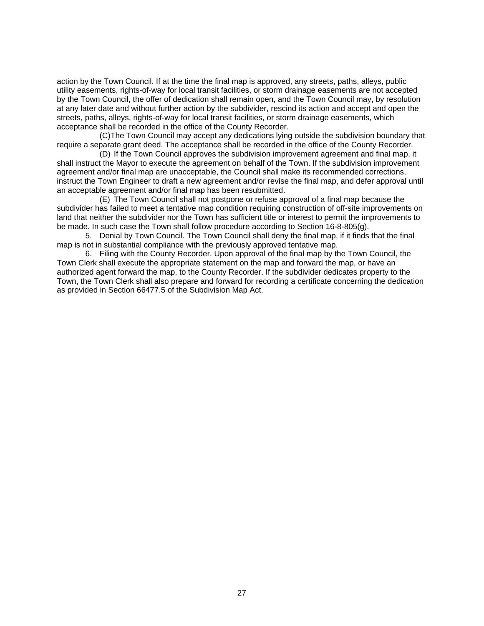action by the Town Council. If at the time the final map is approved, any streets, paths, alleys, public utility easements, rights-of-way for local transit facilities, or storm drainage easements are not accepted by the Town Council, the offer of dedication shall remain open, and the Town Council may, by resolution at any later date and without further action by the subdivider, rescind its action and accept and open the streets, paths, alleys, rights-of-way for local transit facilities, or storm drainage easements, which acceptance shall be recorded in the office of the County Recorder.

(C)The Town Council may accept any dedications lying outside the subdivision boundary that require a separate grant deed. The acceptance shall be recorded in the office of the County Recorder.

(D) If the Town Council approves the subdivision improvement agreement and final map, it shall instruct the Mayor to execute the agreement on behalf of the Town. If the subdivision improvement agreement and/or final map are unacceptable, the Council shall make its recommended corrections, instruct the Town Engineer to draft a new agreement and/or revise the final map, and defer approval until an acceptable agreement and/or final map has been resubmitted.

(E) The Town Council shall not postpone or refuse approval of a final map because the subdivider has failed to meet a tentative map condition requiring construction of off-site improvements on land that neither the subdivider nor the Town has sufficient title or interest to permit the improvements to be made. In such case the Town shall follow procedure according to Section 16-8-805(g).

 5. Denial by Town Council. The Town Council shall deny the final map, if it finds that the final map is not in substantial compliance with the previously approved tentative map.

 6. Filing with the County Recorder. Upon approval of the final map by the Town Council, the Town Clerk shall execute the appropriate statement on the map and forward the map, or have an authorized agent forward the map, to the County Recorder. If the subdivider dedicates property to the Town, the Town Clerk shall also prepare and forward for recording a certificate concerning the dedication as provided in Section 66477.5 of the Subdivision Map Act.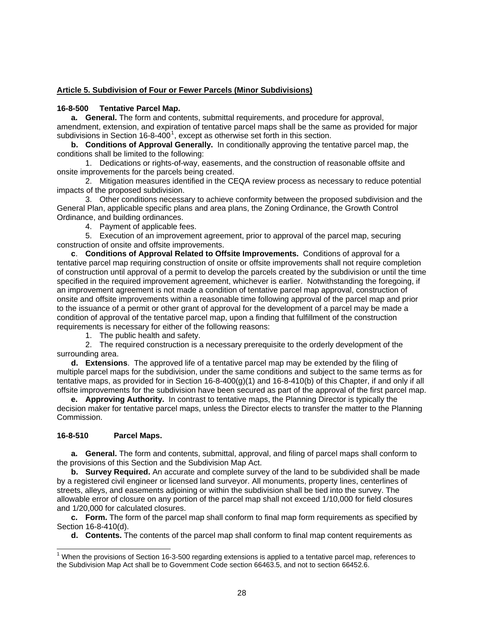## <span id="page-28-0"></span>**Article 5. Subdivision of Four or Fewer Parcels (Minor Subdivisions)**

## **16-8-500 Tentative Parcel Map.**

**a. General.** The form and contents, submittal requirements, and procedure for approval, amendment, extension, and expiration of tentative parcel maps shall be the same as provided for major subdivisions in Section [1](#page-28-1)6-8-400<sup>1</sup>, except as otherwise set forth in this section.

**b. Conditions of Approval Generally.** In conditionally approving the tentative parcel map, the conditions shall be limited to the following:

1. Dedications or rights-of-way, easements, and the construction of reasonable offsite and onsite improvements for the parcels being created.

2. Mitigation measures identified in the CEQA review process as necessary to reduce potential impacts of the proposed subdivision.

3. Other conditions necessary to achieve conformity between the proposed subdivision and the General Plan, applicable specific plans and area plans, the Zoning Ordinance, the Growth Control Ordinance, and building ordinances.

4. Payment of applicable fees.

5. Execution of an improvement agreement, prior to approval of the parcel map, securing construction of onsite and offsite improvements.

**c**. **Conditions of Approval Related to Offsite Improvements.** Conditions of approval for a tentative parcel map requiring construction of onsite or offsite improvements shall not require completion of construction until approval of a permit to develop the parcels created by the subdivision or until the time specified in the required improvement agreement, whichever is earlier. Notwithstanding the foregoing, if an improvement agreement is not made a condition of tentative parcel map approval, construction of onsite and offsite improvements within a reasonable time following approval of the parcel map and prior to the issuance of a permit or other grant of approval for the development of a parcel may be made a condition of approval of the tentative parcel map, upon a finding that fulfillment of the construction requirements is necessary for either of the following reasons:

1. The public health and safety.

2. The required construction is a necessary prerequisite to the orderly development of the surrounding area.

**d. Extensions**. The approved life of a tentative parcel map may be extended by the filing of multiple parcel maps for the subdivision, under the same conditions and subject to the same terms as for tentative maps, as provided for in Section 16-8-400(g)(1) and 16-8-410(b) of this Chapter, if and only if all offsite improvements for the subdivision have been secured as part of the approval of the first parcel map.

**e. Approving Authority.** In contrast to tentative maps, the Planning Director is typically the decision maker for tentative parcel maps, unless the Director elects to transfer the matter to the Planning Commission.

# **16-8-510 Parcel Maps.**

1

**a. General.** The form and contents, submittal, approval, and filing of parcel maps shall conform to the provisions of this Section and the Subdivision Map Act.

**b. Survey Required.** An accurate and complete survey of the land to be subdivided shall be made by a registered civil engineer or licensed land surveyor. All monuments, property lines, centerlines of streets, alleys, and easements adjoining or within the subdivision shall be tied into the survey. The allowable error of closure on any portion of the parcel map shall not exceed 1/10,000 for field closures and 1/20,000 for calculated closures.

**c. Form.** The form of the parcel map shall conform to final map form requirements as specified by Section 16-8-410(d).

**d. Contents.** The contents of the parcel map shall conform to final map content requirements as

<span id="page-28-1"></span><sup>&</sup>lt;sup>1</sup> When the provisions of Section 16-3-500 regarding extensions is applied to a tentative parcel map, references to the Subdivision Map Act shall be to Government Code section 66463.5, and not to section 66452.6.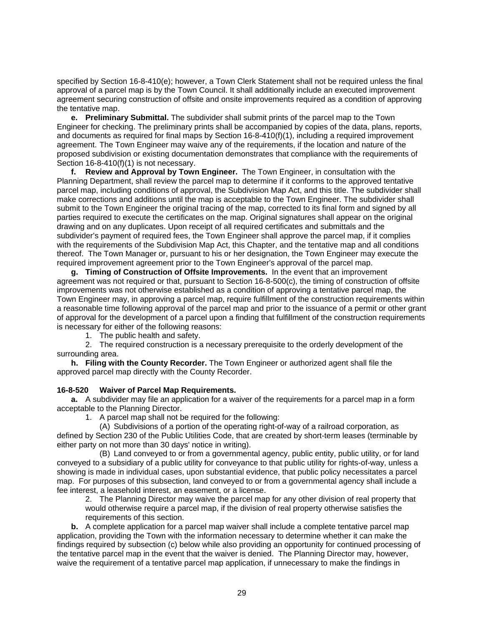<span id="page-29-0"></span>specified by Section 16-8-410(e); however, a Town Clerk Statement shall not be required unless the final approval of a parcel map is by the Town Council. It shall additionally include an executed improvement agreement securing construction of offsite and onsite improvements required as a condition of approving the tentative map.

**e. Preliminary Submittal.** The subdivider shall submit prints of the parcel map to the Town Engineer for checking. The preliminary prints shall be accompanied by copies of the data, plans, reports, and documents as required for final maps by Section 16-8-410(f)(1), including a required improvement agreement. The Town Engineer may waive any of the requirements, if the location and nature of the proposed subdivision or existing documentation demonstrates that compliance with the requirements of Section 16-8-410(f)(1) is not necessary.

**f. Review and Approval by Town Engineer.** The Town Engineer, in consultation with the Planning Department, shall review the parcel map to determine if it conforms to the approved tentative parcel map, including conditions of approval, the Subdivision Map Act, and this title. The subdivider shall make corrections and additions until the map is acceptable to the Town Engineer. The subdivider shall submit to the Town Engineer the original tracing of the map, corrected to its final form and signed by all parties required to execute the certificates on the map. Original signatures shall appear on the original drawing and on any duplicates. Upon receipt of all required certificates and submittals and the subdivider's payment of required fees, the Town Engineer shall approve the parcel map, if it complies with the requirements of the Subdivision Map Act, this Chapter, and the tentative map and all conditions thereof. The Town Manager or, pursuant to his or her designation, the Town Engineer may execute the required improvement agreement prior to the Town Engineer's approval of the parcel map.

**g. Timing of Construction of Offsite Improvements.** In the event that an improvement agreement was not required or that, pursuant to Section 16-8-500(c), the timing of construction of offsite improvements was not otherwise established as a condition of approving a tentative parcel map, the Town Engineer may, in approving a parcel map, require fulfillment of the construction requirements within a reasonable time following approval of the parcel map and prior to the issuance of a permit or other grant of approval for the development of a parcel upon a finding that fulfillment of the construction requirements is necessary for either of the following reasons:

1. The public health and safety.

2. The required construction is a necessary prerequisite to the orderly development of the surrounding area.

**h. Filing with the County Recorder.** The Town Engineer or authorized agent shall file the approved parcel map directly with the County Recorder.

## **16-8-520 Waiver of Parcel Map Requirements.**

**a.** A subdivider may file an application for a waiver of the requirements for a parcel map in a form acceptable to the Planning Director.

1. A parcel map shall not be required for the following:

(A) Subdivisions of a portion of the operating right-of-way of a railroad corporation, as defined by Section 230 of the Public Utilities Code, that are created by short-term leases (terminable by either party on not more than 30 days' notice in writing).

(B) Land conveyed to or from a governmental agency, public entity, public utility, or for land conveyed to a subsidiary of a public utility for conveyance to that public utility for rights-of-way, unless a showing is made in individual cases, upon substantial evidence, that public policy necessitates a parcel map. For purposes of this subsection, land conveyed to or from a governmental agency shall include a fee interest, a leasehold interest, an easement, or a license.

2. The Planning Director may waive the parcel map for any other division of real property that would otherwise require a parcel map, if the division of real property otherwise satisfies the requirements of this section.

**b.** A complete application for a parcel map waiver shall include a complete tentative parcel map application, providing the Town with the information necessary to determine whether it can make the findings required by subsection (c) below while also providing an opportunity for continued processing of the tentative parcel map in the event that the waiver is denied. The Planning Director may, however, waive the requirement of a tentative parcel map application, if unnecessary to make the findings in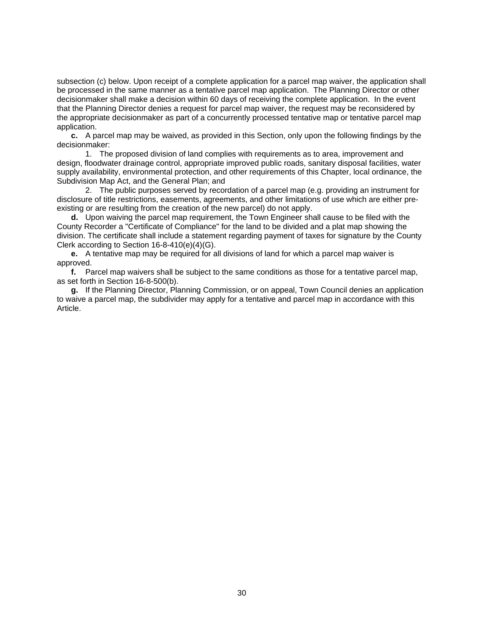subsection (c) below. Upon receipt of a complete application for a parcel map waiver, the application shall be processed in the same manner as a tentative parcel map application. The Planning Director or other decisionmaker shall make a decision within 60 days of receiving the complete application. In the event that the Planning Director denies a request for parcel map waiver, the request may be reconsidered by the appropriate decisionmaker as part of a concurrently processed tentative map or tentative parcel map application.

**c.** A parcel map may be waived, as provided in this Section, only upon the following findings by the decisionmaker:

1. The proposed division of land complies with requirements as to area, improvement and design, floodwater drainage control, appropriate improved public roads, sanitary disposal facilities, water supply availability, environmental protection, and other requirements of this Chapter, local ordinance, the Subdivision Map Act, and the General Plan; and

2. The public purposes served by recordation of a parcel map (e.g. providing an instrument for disclosure of title restrictions, easements, agreements, and other limitations of use which are either preexisting or are resulting from the creation of the new parcel) do not apply.

**d.** Upon waiving the parcel map requirement, the Town Engineer shall cause to be filed with the County Recorder a "Certificate of Compliance" for the land to be divided and a plat map showing the division. The certificate shall include a statement regarding payment of taxes for signature by the County Clerk according to Section 16-8-410(e)(4)(G).

**e.** A tentative map may be required for all divisions of land for which a parcel map waiver is approved.

**f.** Parcel map waivers shall be subject to the same conditions as those for a tentative parcel map, as set forth in Section 16-8-500(b).

**g.** If the Planning Director, Planning Commission, or on appeal, Town Council denies an application to waive a parcel map, the subdivider may apply for a tentative and parcel map in accordance with this Article.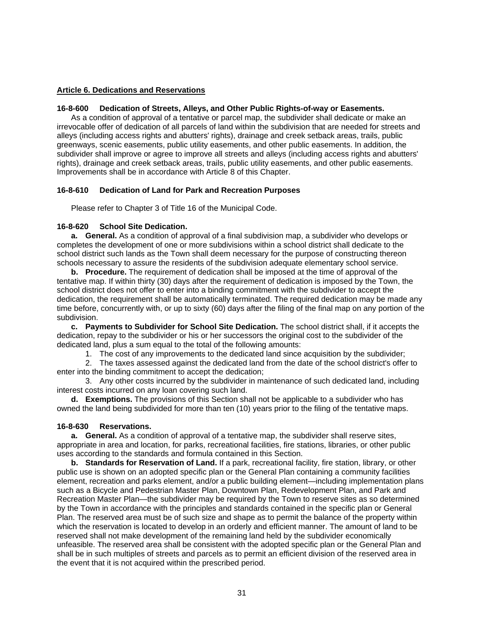## <span id="page-31-0"></span>**Article 6. Dedications and Reservations**

## **16-8-600 Dedication of Streets, Alleys, and Other Public Rights-of-way or Easements.**

 As a condition of approval of a tentative or parcel map, the subdivider shall dedicate or make an irrevocable offer of dedication of all parcels of land within the subdivision that are needed for streets and alleys (including access rights and abutters' rights), drainage and creek setback areas, trails, public greenways, scenic easements, public utility easements, and other public easements. In addition, the subdivider shall improve or agree to improve all streets and alleys (including access rights and abutters' rights), drainage and creek setback areas, trails, public utility easements, and other public easements. Improvements shall be in accordance with Article 8 of this Chapter.

## **16-8-610 Dedication of Land for Park and Recreation Purposes**

Please refer to Chapter 3 of Title 16 of the Municipal Code.

## **16-8-620 School Site Dedication.**

**a. General.** As a condition of approval of a final subdivision map, a subdivider who develops or completes the development of one or more subdivisions within a school district shall dedicate to the school district such lands as the Town shall deem necessary for the purpose of constructing thereon schools necessary to assure the residents of the subdivision adequate elementary school service.

**b. Procedure.** The requirement of dedication shall be imposed at the time of approval of the tentative map. If within thirty (30) days after the requirement of dedication is imposed by the Town, the school district does not offer to enter into a binding commitment with the subdivider to accept the dedication, the requirement shall be automatically terminated. The required dedication may be made any time before, concurrently with, or up to sixty (60) days after the filing of the final map on any portion of the subdivision.

**c. Payments to Subdivider for School Site Dedication.** The school district shall, if it accepts the dedication, repay to the subdivider or his or her successors the original cost to the subdivider of the dedicated land, plus a sum equal to the total of the following amounts:

1. The cost of any improvements to the dedicated land since acquisition by the subdivider;

 2. The taxes assessed against the dedicated land from the date of the school district's offer to enter into the binding commitment to accept the dedication;

 3. Any other costs incurred by the subdivider in maintenance of such dedicated land, including interest costs incurred on any loan covering such land.

**d. Exemptions.** The provisions of this Section shall not be applicable to a subdivider who has owned the land being subdivided for more than ten (10) years prior to the filing of the tentative maps.

# **16-8-630 Reservations.**

**a. General.** As a condition of approval of a tentative map, the subdivider shall reserve sites, appropriate in area and location, for parks, recreational facilities, fire stations, libraries, or other public uses according to the standards and formula contained in this Section.

**b. Standards for Reservation of Land.** If a park, recreational facility, fire station, library, or other public use is shown on an adopted specific plan or the General Plan containing a community facilities element, recreation and parks element, and/or a public building element—including implementation plans such as a Bicycle and Pedestrian Master Plan, Downtown Plan, Redevelopment Plan, and Park and Recreation Master Plan—the subdivider may be required by the Town to reserve sites as so determined by the Town in accordance with the principles and standards contained in the specific plan or General Plan. The reserved area must be of such size and shape as to permit the balance of the property within which the reservation is located to develop in an orderly and efficient manner. The amount of land to be reserved shall not make development of the remaining land held by the subdivider economically unfeasible. The reserved area shall be consistent with the adopted specific plan or the General Plan and shall be in such multiples of streets and parcels as to permit an efficient division of the reserved area in the event that it is not acquired within the prescribed period.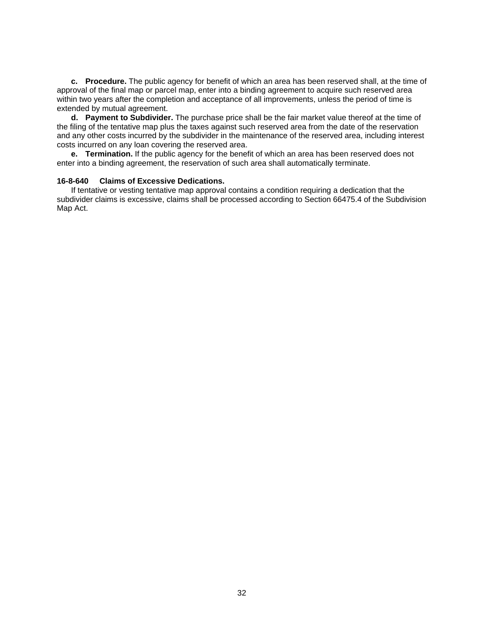<span id="page-32-0"></span>**c. Procedure.** The public agency for benefit of which an area has been reserved shall, at the time of approval of the final map or parcel map, enter into a binding agreement to acquire such reserved area within two years after the completion and acceptance of all improvements, unless the period of time is extended by mutual agreement.

**d. Payment to Subdivider.** The purchase price shall be the fair market value thereof at the time of the filing of the tentative map plus the taxes against such reserved area from the date of the reservation and any other costs incurred by the subdivider in the maintenance of the reserved area, including interest costs incurred on any loan covering the reserved area.

**e. Termination.** If the public agency for the benefit of which an area has been reserved does not enter into a binding agreement, the reservation of such area shall automatically terminate.

#### **16-8-640 Claims of Excessive Dedications.**

 If tentative or vesting tentative map approval contains a condition requiring a dedication that the subdivider claims is excessive, claims shall be processed according to Section 66475.4 of the Subdivision Map Act.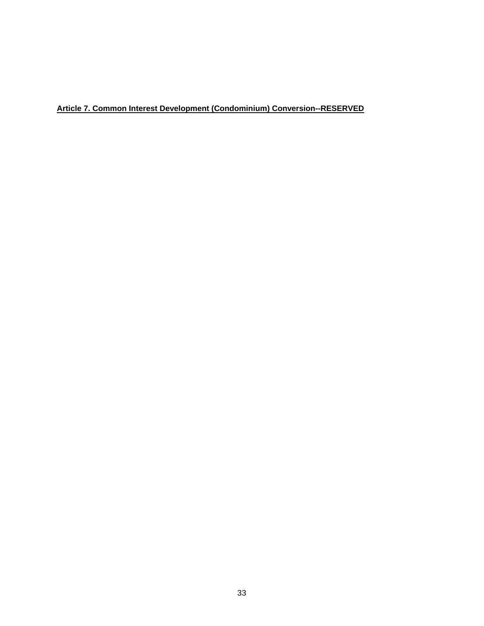# <span id="page-33-0"></span>**Article 7. Common Interest Development (Condominium) Conversion--RESERVED**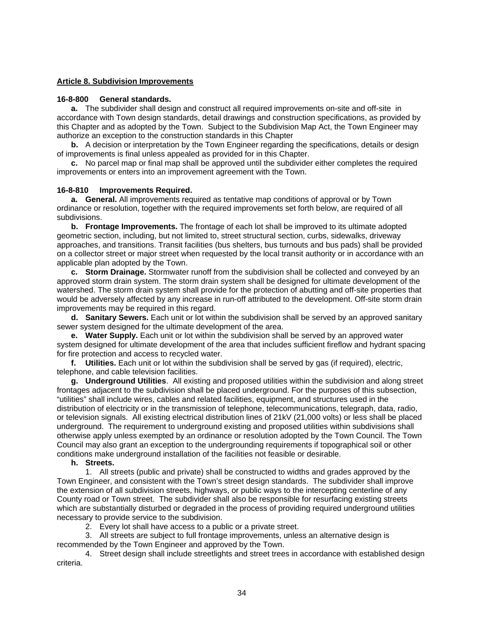## <span id="page-34-0"></span>**Article 8. Subdivision Improvements**

#### **16-8-800 General standards.**

**a.** The subdivider shall design and construct all required improvements on-site and off-site in accordance with Town design standards, detail drawings and construction specifications, as provided by this Chapter and as adopted by the Town. Subject to the Subdivision Map Act, the Town Engineer may authorize an exception to the construction standards in this Chapter

**b.** A decision or interpretation by the Town Engineer regarding the specifications, details or design of improvements is final unless appealed as provided for in this Chapter.

**c.** No parcel map or final map shall be approved until the subdivider either completes the required improvements or enters into an improvement agreement with the Town.

#### **16-8-810 Improvements Required.**

**a. General.** All improvements required as tentative map conditions of approval or by Town ordinance or resolution, together with the required improvements set forth below, are required of all subdivisions.

**b. Frontage Improvements.** The frontage of each lot shall be improved to its ultimate adopted geometric section, including, but not limited to, street structural section, curbs, sidewalks, driveway approaches, and transitions. Transit facilities (bus shelters, bus turnouts and bus pads) shall be provided on a collector street or major street when requested by the local transit authority or in accordance with an applicable plan adopted by the Town.

**c. Storm Drainage.** Stormwater runoff from the subdivision shall be collected and conveyed by an approved storm drain system. The storm drain system shall be designed for ultimate development of the watershed. The storm drain system shall provide for the protection of abutting and off-site properties that would be adversely affected by any increase in run-off attributed to the development. Off-site storm drain improvements may be required in this regard.

**d. Sanitary Sewers.** Each unit or lot within the subdivision shall be served by an approved sanitary sewer system designed for the ultimate development of the area.

**e. Water Supply.** Each unit or lot within the subdivision shall be served by an approved water system designed for ultimate development of the area that includes sufficient fireflow and hydrant spacing for fire protection and access to recycled water.

**f. Utilities.** Each unit or lot within the subdivision shall be served by gas (if required), electric, telephone, and cable television facilities.

**g. Underground Utilities**. All existing and proposed utilities within the subdivision and along street frontages adjacent to the subdivision shall be placed underground. For the purposes of this subsection, "utilities" shall include wires, cables and related facilities, equipment, and structures used in the distribution of electricity or in the transmission of telephone, telecommunications, telegraph, data, radio, or television signals. All existing electrical distribution lines of 21kV (21,000 volts) or less shall be placed underground. The requirement to underground existing and proposed utilities within subdivisions shall otherwise apply unless exempted by an ordinance or resolution adopted by the Town Council. The Town Council may also grant an exception to the undergrounding requirements if topographical soil or other conditions make underground installation of the facilities not feasible or desirable.

#### **h. Streets.**

 1. All streets (public and private) shall be constructed to widths and grades approved by the Town Engineer, and consistent with the Town's street design standards. The subdivider shall improve the extension of all subdivision streets, highways, or public ways to the intercepting centerline of any County road or Town street. The subdivider shall also be responsible for resurfacing existing streets which are substantially disturbed or degraded in the process of providing required underground utilities necessary to provide service to the subdivision.

2. Every lot shall have access to a public or a private street.

 3. All streets are subject to full frontage improvements, unless an alternative design is recommended by the Town Engineer and approved by the Town.

 4. Street design shall include streetlights and street trees in accordance with established design criteria.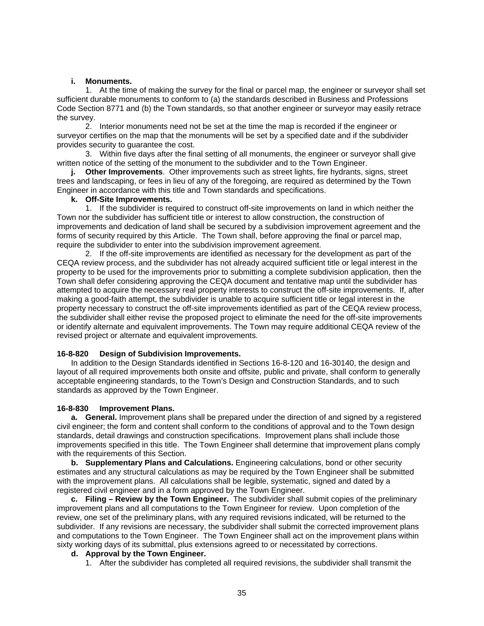#### **i. Monuments.**

<span id="page-35-0"></span> 1. At the time of making the survey for the final or parcel map, the engineer or surveyor shall set sufficient durable monuments to conform to (a) the standards described in Business and Professions Code Section 8771 and (b) the Town standards, so that another engineer or surveyor may easily retrace the survey.

 2. Interior monuments need not be set at the time the map is recorded if the engineer or surveyor certifies on the map that the monuments will be set by a specified date and if the subdivider provides security to guarantee the cost.

 3. Within five days after the final setting of all monuments, the engineer or surveyor shall give written notice of the setting of the monument to the subdivider and to the Town Engineer.

 **j. Other Improvements**. Other improvements such as street lights, fire hydrants, signs, street trees and landscaping, or fees in lieu of any of the foregoing, are required as determined by the Town Engineer in accordance with this title and Town standards and specifications.

## **k. Off-Site Improvements.**

1. If the subdivider is required to construct off-site improvements on land in which neither the Town nor the subdivider has sufficient title or interest to allow construction, the construction of improvements and dedication of land shall be secured by a subdivision improvement agreement and the forms of security required by this Article. The Town shall, before approving the final or parcel map, require the subdivider to enter into the subdivision improvement agreement.

2. If the off-site improvements are identified as necessary for the development as part of the CEQA review process, and the subdivider has not already acquired sufficient title or legal interest in the property to be used for the improvements prior to submitting a complete subdivision application, then the Town shall defer considering approving the CEQA document and tentative map until the subdivider has attempted to acquire the necessary real property interests to construct the off-site improvements. If, after making a good-faith attempt, the subdivider is unable to acquire sufficient title or legal interest in the property necessary to construct the off-site improvements identified as part of the CEQA review process, the subdivider shall either revise the proposed project to eliminate the need for the off-site improvements or identify alternate and equivalent improvements. The Town may require additional CEQA review of the revised project or alternate and equivalent improvements.

## **16-8-820 Design of Subdivision Improvements.**

 In addition to the Design Standards identified in Sections 16-8-120 and 16-30140, the design and layout of all required improvements both onsite and offsite, public and private, shall conform to generally acceptable engineering standards, to the Town's Design and Construction Standards, and to such standards as approved by the Town Engineer.

## **16-8-830 Improvement Plans.**

**a. General.** Improvement plans shall be prepared under the direction of and signed by a registered civil engineer; the form and content shall conform to the conditions of approval and to the Town design standards, detail drawings and construction specifications. Improvement plans shall include those improvements specified in this title. The Town Engineer shall determine that improvement plans comply with the requirements of this Section.

**b. Supplementary Plans and Calculations.** Engineering calculations, bond or other security estimates and any structural calculations as may be required by the Town Engineer shall be submitted with the improvement plans. All calculations shall be legible, systematic, signed and dated by a registered civil engineer and in a form approved by the Town Engineer.

**c. Filing – Review by the Town Engineer.** The subdivider shall submit copies of the preliminary improvement plans and all computations to the Town Engineer for review. Upon completion of the review, one set of the preliminary plans, with any required revisions indicated, will be returned to the subdivider. If any revisions are necessary, the subdivider shall submit the corrected improvement plans and computations to the Town Engineer. The Town Engineer shall act on the improvement plans within sixty working days of its submittal, plus extensions agreed to or necessitated by corrections.

## **d. Approval by the Town Engineer.**

1. After the subdivider has completed all required revisions, the subdivider shall transmit the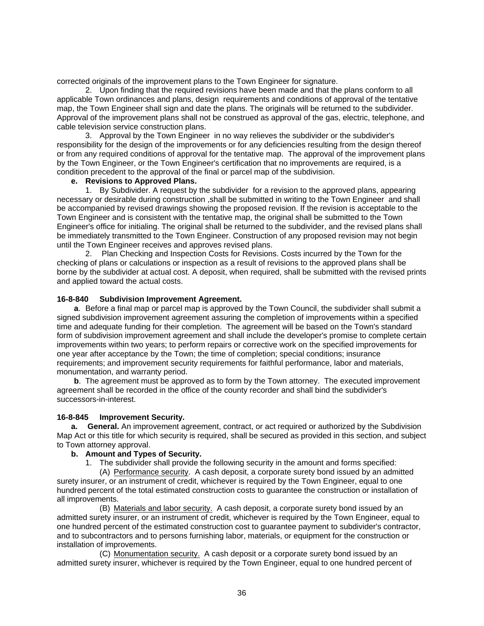<span id="page-36-0"></span>corrected originals of the improvement plans to the Town Engineer for signature.

 2. Upon finding that the required revisions have been made and that the plans conform to all applicable Town ordinances and plans, design requirements and conditions of approval of the tentative map, the Town Engineer shall sign and date the plans. The originals will be returned to the subdivider. Approval of the improvement plans shall not be construed as approval of the gas, electric, telephone, and cable television service construction plans.

 3. Approval by the Town Engineer in no way relieves the subdivider or the subdivider's responsibility for the design of the improvements or for any deficiencies resulting from the design thereof or from any required conditions of approval for the tentative map. The approval of the improvement plans by the Town Engineer, or the Town Engineer's certification that no improvements are required, is a condition precedent to the approval of the final or parcel map of the subdivision.

#### **e. Revisions to Approved Plans.**

 1. By Subdivider. A request by the subdivider for a revision to the approved plans, appearing necessary or desirable during construction ,shall be submitted in writing to the Town Engineer and shall be accompanied by revised drawings showing the proposed revision. If the revision is acceptable to the Town Engineer and is consistent with the tentative map, the original shall be submitted to the Town Engineer's office for initialing. The original shall be returned to the subdivider, and the revised plans shall be immediately transmitted to the Town Engineer. Construction of any proposed revision may not begin until the Town Engineer receives and approves revised plans.

 2. Plan Checking and Inspection Costs for Revisions. Costs incurred by the Town for the checking of plans or calculations or inspection as a result of revisions to the approved plans shall be borne by the subdivider at actual cost. A deposit, when required, shall be submitted with the revised prints and applied toward the actual costs.

#### **16-8-840 Subdivision Improvement Agreement.**

**a**. Before a final map or parcel map is approved by the Town Council, the subdivider shall submit a signed subdivision improvement agreement assuring the completion of improvements within a specified time and adequate funding for their completion. The agreement will be based on the Town's standard form of subdivision improvement agreement and shall include the developer's promise to complete certain improvements within two years; to perform repairs or corrective work on the specified improvements for one year after acceptance by the Town; the time of completion; special conditions; insurance requirements; and improvement security requirements for faithful performance, labor and materials, monumentation, and warranty period.

**b.** The agreement must be approved as to form by the Town attorney. The executed improvement agreement shall be recorded in the office of the county recorder and shall bind the subdivider's successors-in-interest.

#### **16-8-845 Improvement Security.**

**a. General.** An improvement agreement, contract, or act required or authorized by the Subdivision Map Act or this title for which security is required, shall be secured as provided in this section, and subject to Town attorney approval.

#### **b. Amount and Types of Security.**

1. The subdivider shall provide the following security in the amount and forms specified:

 (A) Performance security. A cash deposit, a corporate surety bond issued by an admitted surety insurer, or an instrument of credit, whichever is required by the Town Engineer, equal to one hundred percent of the total estimated construction costs to guarantee the construction or installation of all improvements.

(B) Materials and labor security. A cash deposit, a corporate surety bond issued by an admitted surety insurer, or an instrument of credit, whichever is required by the Town Engineer, equal to one hundred percent of the estimated construction cost to guarantee payment to subdivider's contractor, and to subcontractors and to persons furnishing labor, materials, or equipment for the construction or installation of improvements.

 (C) Monumentation security. A cash deposit or a corporate surety bond issued by an admitted surety insurer, whichever is required by the Town Engineer, equal to one hundred percent of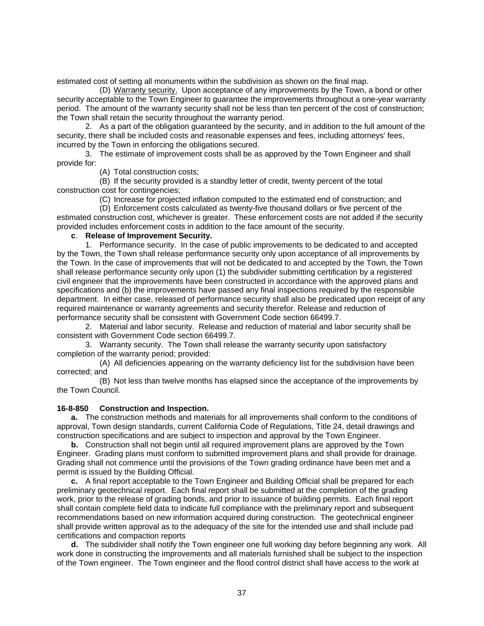<span id="page-37-0"></span>estimated cost of setting all monuments within the subdivision as shown on the final map.

 (D) Warranty security. Upon acceptance of any improvements by the Town, a bond or other security acceptable to the Town Engineer to guarantee the improvements throughout a one-year warranty period. The amount of the warranty security shall not be less than ten percent of the cost of construction; the Town shall retain the security throughout the warranty period.

 2. As a part of the obligation guaranteed by the security, and in addition to the full amount of the security, there shall be included costs and reasonable expenses and fees, including attorneys' fees, incurred by the Town in enforcing the obligations secured.

 3. The estimate of improvement costs shall be as approved by the Town Engineer and shall provide for:

(A) Total construction costs;

 (B) If the security provided is a standby letter of credit, twenty percent of the total construction cost for contingencies;

(C) Increase for projected inflation computed to the estimated end of construction; and

 (D) Enforcement costs calculated as twenty-five thousand dollars or five percent of the estimated construction cost, whichever is greater. These enforcement costs are not added if the security provided includes enforcement costs in addition to the face amount of the security.

## **c**. **Release of Improvement Security.**

 1. Performance security. In the case of public improvements to be dedicated to and accepted by the Town, the Town shall release performance security only upon acceptance of all improvements by the Town. In the case of improvements that will not be dedicated to and accepted by the Town, the Town shall release performance security only upon (1) the subdivider submitting certification by a registered civil engineer that the improvements have been constructed in accordance with the approved plans and specifications and (b) the improvements have passed any final inspections required by the responsible department. In either case, released of performance security shall also be predicated upon receipt of any required maintenance or warranty agreements and security therefor. Release and reduction of performance security shall be consistent with Government Code section 66499.7.

 2. Material and labor security. Release and reduction of material and labor security shall be consistent with Government Code section 66499.7.

 3. Warranty security. The Town shall release the warranty security upon satisfactory completion of the warranty period; provided:

 (A) All deficiencies appearing on the warranty deficiency list for the subdivision have been corrected; and

 (B) Not less than twelve months has elapsed since the acceptance of the improvements by the Town Council.

## **16-8-850 Construction and Inspection.**

**a.** The construction methods and materials for all improvements shall conform to the conditions of approval, Town design standards, current California Code of Regulations, Title 24, detail drawings and construction specifications and are subject to inspection and approval by the Town Engineer.

**b.** Construction shall not begin until all required improvement plans are approved by the Town Engineer. Grading plans must conform to submitted improvement plans and shall provide for drainage. Grading shall not commence until the provisions of the Town grading ordinance have been met and a permit is issued by the Building Official.

**c.** A final report acceptable to the Town Engineer and Building Official shall be prepared for each preliminary geotechnical report. Each final report shall be submitted at the completion of the grading work, prior to the release of grading bonds, and prior to issuance of building permits. Each final report shall contain complete field data to indicate full compliance with the preliminary report and subsequent recommendations based on new information acquired during construction. The geotechnical engineer shall provide written approval as to the adequacy of the site for the intended use and shall include pad certifications and compaction reports

**d.** The subdivider shall notify the Town engineer one full working day before beginning any work. All work done in constructing the improvements and all materials furnished shall be subject to the inspection of the Town engineer. The Town engineer and the flood control district shall have access to the work at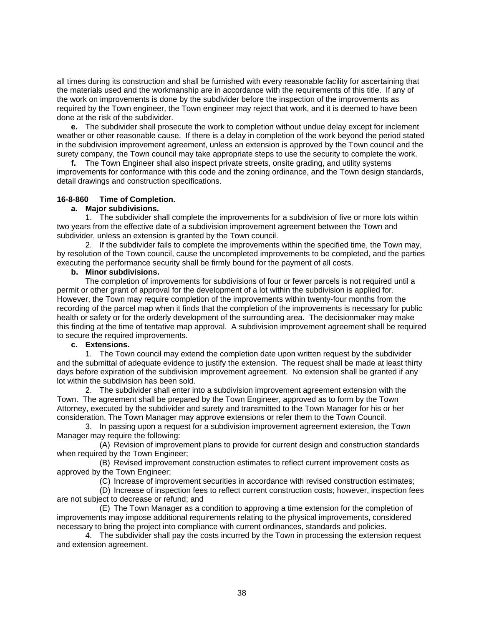<span id="page-38-0"></span>all times during its construction and shall be furnished with every reasonable facility for ascertaining that the materials used and the workmanship are in accordance with the requirements of this title. If any of the work on improvements is done by the subdivider before the inspection of the improvements as required by the Town engineer, the Town engineer may reject that work, and it is deemed to have been done at the risk of the subdivider.

**e.** The subdivider shall prosecute the work to completion without undue delay except for inclement weather or other reasonable cause. If there is a delay in completion of the work beyond the period stated in the subdivision improvement agreement, unless an extension is approved by the Town council and the surety company, the Town council may take appropriate steps to use the security to complete the work.

**f.** The Town Engineer shall also inspect private streets, onsite grading, and utility systems improvements for conformance with this code and the zoning ordinance, and the Town design standards, detail drawings and construction specifications.

## **16-8-860 Time of Completion.**

## **a. Major subdivisions.**

1. The subdivider shall complete the improvements for a subdivision of five or more lots within two years from the effective date of a subdivision improvement agreement between the Town and subdivider, unless an extension is granted by the Town council.

2. If the subdivider fails to complete the improvements within the specified time, the Town may, by resolution of the Town council, cause the uncompleted improvements to be completed, and the parties executing the performance security shall be firmly bound for the payment of all costs.

## **b. Minor subdivisions.**

The completion of improvements for subdivisions of four or fewer parcels is not required until a permit or other grant of approval for the development of a lot within the subdivision is applied for. However, the Town may require completion of the improvements within twenty-four months from the recording of the parcel map when it finds that the completion of the improvements is necessary for public health or safety or for the orderly development of the surrounding area. The decisionmaker may make this finding at the time of tentative map approval. A subdivision improvement agreement shall be required to secure the required improvements.

## **c. Extensions.**

1. The Town council may extend the completion date upon written request by the subdivider and the submittal of adequate evidence to justify the extension. The request shall be made at least thirty days before expiration of the subdivision improvement agreement. No extension shall be granted if any lot within the subdivision has been sold.

2. The subdivider shall enter into a subdivision improvement agreement extension with the Town. The agreement shall be prepared by the Town Engineer, approved as to form by the Town Attorney, executed by the subdivider and surety and transmitted to the Town Manager for his or her consideration. The Town Manager may approve extensions or refer them to the Town Council.

3. In passing upon a request for a subdivision improvement agreement extension, the Town Manager may require the following:

(A) Revision of improvement plans to provide for current design and construction standards when required by the Town Engineer;

(B) Revised improvement construction estimates to reflect current improvement costs as approved by the Town Engineer;

(C) Increase of improvement securities in accordance with revised construction estimates;

(D) Increase of inspection fees to reflect current construction costs; however, inspection fees are not subject to decrease or refund; and

(E) The Town Manager as a condition to approving a time extension for the completion of improvements may impose additional requirements relating to the physical improvements, considered necessary to bring the project into compliance with current ordinances, standards and policies.

4. The subdivider shall pay the costs incurred by the Town in processing the extension request and extension agreement.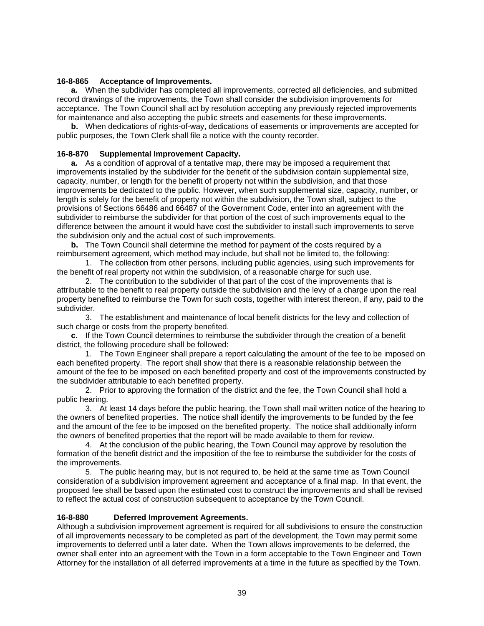## <span id="page-39-0"></span>**16-8-865 Acceptance of Improvements.**

**a.** When the subdivider has completed all improvements, corrected all deficiencies, and submitted record drawings of the improvements, the Town shall consider the subdivision improvements for acceptance. The Town Council shall act by resolution accepting any previously rejected improvements for maintenance and also accepting the public streets and easements for these improvements.

**b.** When dedications of rights-of-way, dedications of easements or improvements are accepted for public purposes, the Town Clerk shall file a notice with the county recorder.

## **16-8-870 Supplemental Improvement Capacity.**

**a.** As a condition of approval of a tentative map, there may be imposed a requirement that improvements installed by the subdivider for the benefit of the subdivision contain supplemental size, capacity, number, or length for the benefit of property not within the subdivision, and that those improvements be dedicated to the public. However, when such supplemental size, capacity, number, or length is solely for the benefit of property not within the subdivision, the Town shall, subject to the provisions of Sections 66486 and 66487 of the Government Code, enter into an agreement with the subdivider to reimburse the subdivider for that portion of the cost of such improvements equal to the difference between the amount it would have cost the subdivider to install such improvements to serve the subdivision only and the actual cost of such improvements.

**b.** The Town Council shall determine the method for payment of the costs required by a reimbursement agreement, which method may include, but shall not be limited to, the following:

 1. The collection from other persons, including public agencies, using such improvements for the benefit of real property not within the subdivision, of a reasonable charge for such use.

 2. The contribution to the subdivider of that part of the cost of the improvements that is attributable to the benefit to real property outside the subdivision and the levy of a charge upon the real property benefited to reimburse the Town for such costs, together with interest thereon, if any, paid to the subdivider.

 3. The establishment and maintenance of local benefit districts for the levy and collection of such charge or costs from the property benefited.

**c.** If the Town Council determines to reimburse the subdivider through the creation of a benefit district, the following procedure shall be followed:

 1. The Town Engineer shall prepare a report calculating the amount of the fee to be imposed on each benefited property. The report shall show that there is a reasonable relationship between the amount of the fee to be imposed on each benefited property and cost of the improvements constructed by the subdivider attributable to each benefited property.

 2. Prior to approving the formation of the district and the fee, the Town Council shall hold a public hearing.

 3. At least 14 days before the public hearing, the Town shall mail written notice of the hearing to the owners of benefited properties. The notice shall identify the improvements to be funded by the fee and the amount of the fee to be imposed on the benefited property. The notice shall additionally inform the owners of benefited properties that the report will be made available to them for review.

 4. At the conclusion of the public hearing, the Town Council may approve by resolution the formation of the benefit district and the imposition of the fee to reimburse the subdivider for the costs of the improvements.

 5. The public hearing may, but is not required to, be held at the same time as Town Council consideration of a subdivision improvement agreement and acceptance of a final map. In that event, the proposed fee shall be based upon the estimated cost to construct the improvements and shall be revised to reflect the actual cost of construction subsequent to acceptance by the Town Council.

## **16-8-880 Deferred Improvement Agreements.**

Although a subdivision improvement agreement is required for all subdivisions to ensure the construction of all improvements necessary to be completed as part of the development, the Town may permit some improvements to deferred until a later date. When the Town allows improvements to be deferred, the owner shall enter into an agreement with the Town in a form acceptable to the Town Engineer and Town Attorney for the installation of all deferred improvements at a time in the future as specified by the Town.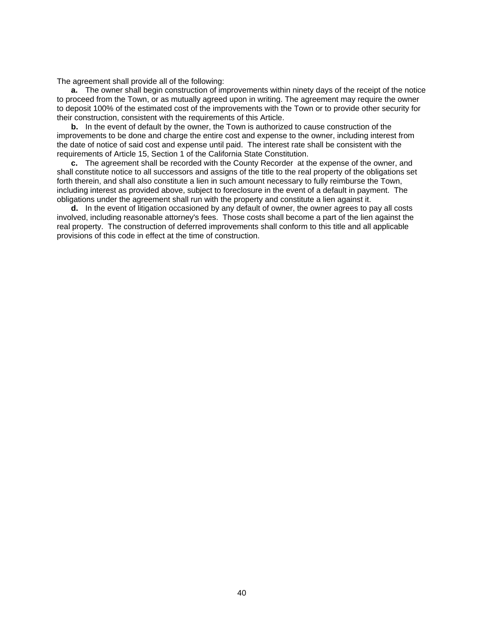The agreement shall provide all of the following:

**a.** The owner shall begin construction of improvements within ninety days of the receipt of the notice to proceed from the Town, or as mutually agreed upon in writing. The agreement may require the owner to deposit 100% of the estimated cost of the improvements with the Town or to provide other security for their construction, consistent with the requirements of this Article.

**b.** In the event of default by the owner, the Town is authorized to cause construction of the improvements to be done and charge the entire cost and expense to the owner, including interest from the date of notice of said cost and expense until paid. The interest rate shall be consistent with the requirements of Article 15, Section 1 of the California State Constitution.

**c.** The agreement shall be recorded with the County Recorder at the expense of the owner, and shall constitute notice to all successors and assigns of the title to the real property of the obligations set forth therein, and shall also constitute a lien in such amount necessary to fully reimburse the Town, including interest as provided above, subject to foreclosure in the event of a default in payment. The obligations under the agreement shall run with the property and constitute a lien against it.

**d.** In the event of litigation occasioned by any default of owner, the owner agrees to pay all costs involved, including reasonable attorney's fees. Those costs shall become a part of the lien against the real property. The construction of deferred improvements shall conform to this title and all applicable provisions of this code in effect at the time of construction.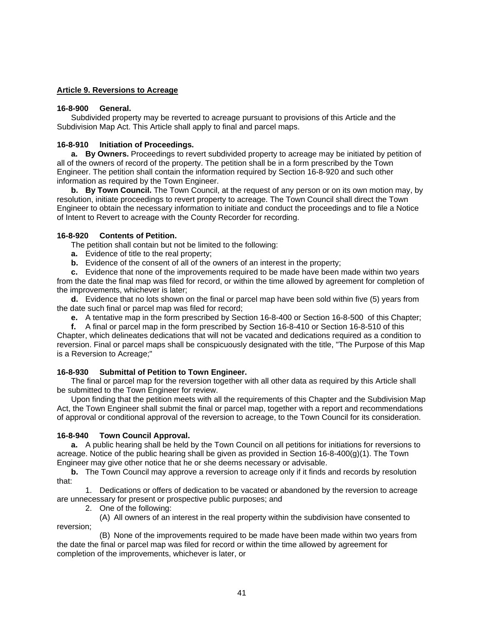## <span id="page-41-0"></span>**Article 9. Reversions to Acreage**

## **16-8-900 General.**

 Subdivided property may be reverted to acreage pursuant to provisions of this Article and the Subdivision Map Act. This Article shall apply to final and parcel maps.

## **16-8-910 Initiation of Proceedings.**

**a. By Owners.** Proceedings to revert subdivided property to acreage may be initiated by petition of all of the owners of record of the property. The petition shall be in a form prescribed by the Town Engineer. The petition shall contain the information required by Section 16-8-920 and such other information as required by the Town Engineer.

**b. By Town Council.** The Town Council, at the request of any person or on its own motion may, by resolution, initiate proceedings to revert property to acreage. The Town Council shall direct the Town Engineer to obtain the necessary information to initiate and conduct the proceedings and to file a Notice of Intent to Revert to acreage with the County Recorder for recording.

## **16-8-920 Contents of Petition.**

The petition shall contain but not be limited to the following:

- **a.** Evidence of title to the real property;
- **b.** Evidence of the consent of all of the owners of an interest in the property;

**c.** Evidence that none of the improvements required to be made have been made within two years from the date the final map was filed for record, or within the time allowed by agreement for completion of the improvements, whichever is later;

**d.** Evidence that no lots shown on the final or parcel map have been sold within five (5) years from the date such final or parcel map was filed for record;

**e.** A tentative map in the form prescribed by Section 16-8-400 or Section 16-8-500 of this Chapter;

**f.** A final or parcel map in the form prescribed by Section 16-8-410 or Section 16-8-510 of this Chapter, which delineates dedications that will not be vacated and dedications required as a condition to reversion. Final or parcel maps shall be conspicuously designated with the title, "The Purpose of this Map is a Reversion to Acreage;"

# **16-8-930 Submittal of Petition to Town Engineer.**

 The final or parcel map for the reversion together with all other data as required by this Article shall be submitted to the Town Engineer for review.

 Upon finding that the petition meets with all the requirements of this Chapter and the Subdivision Map Act, the Town Engineer shall submit the final or parcel map, together with a report and recommendations of approval or conditional approval of the reversion to acreage, to the Town Council for its consideration.

# **16-8-940 Town Council Approval.**

**a.** A public hearing shall be held by the Town Council on all petitions for initiations for reversions to acreage. Notice of the public hearing shall be given as provided in Section 16-8-400(g)(1). The Town Engineer may give other notice that he or she deems necessary or advisable.

**b.** The Town Council may approve a reversion to acreage only if it finds and records by resolution that:

 1. Dedications or offers of dedication to be vacated or abandoned by the reversion to acreage are unnecessary for present or prospective public purposes; and

2. One of the following:

 (A) All owners of an interest in the real property within the subdivision have consented to reversion;

 (B) None of the improvements required to be made have been made within two years from the date the final or parcel map was filed for record or within the time allowed by agreement for completion of the improvements, whichever is later, or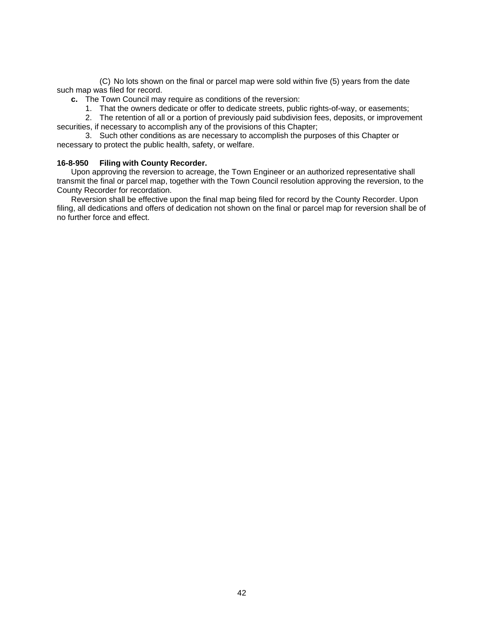<span id="page-42-0"></span> (C) No lots shown on the final or parcel map were sold within five (5) years from the date such map was filed for record.

- **c.** The Town Council may require as conditions of the reversion:
	- 1. That the owners dedicate or offer to dedicate streets, public rights-of-way, or easements;

 2. The retention of all or a portion of previously paid subdivision fees, deposits, or improvement securities, if necessary to accomplish any of the provisions of this Chapter;

 3. Such other conditions as are necessary to accomplish the purposes of this Chapter or necessary to protect the public health, safety, or welfare.

## **16-8-950 Filing with County Recorder.**

 Upon approving the reversion to acreage, the Town Engineer or an authorized representative shall transmit the final or parcel map, together with the Town Council resolution approving the reversion, to the County Recorder for recordation.

 Reversion shall be effective upon the final map being filed for record by the County Recorder. Upon filing, all dedications and offers of dedication not shown on the final or parcel map for reversion shall be of no further force and effect.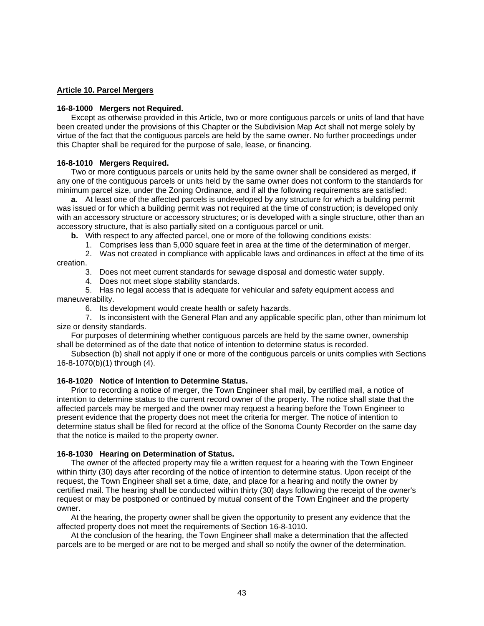## <span id="page-43-0"></span>**Article 10. Parcel Mergers**

## **16-8-1000 Mergers not Required.**

 Except as otherwise provided in this Article, two or more contiguous parcels or units of land that have been created under the provisions of this Chapter or the Subdivision Map Act shall not merge solely by virtue of the fact that the contiguous parcels are held by the same owner. No further proceedings under this Chapter shall be required for the purpose of sale, lease, or financing.

#### **16-8-1010 Mergers Required.**

 Two or more contiguous parcels or units held by the same owner shall be considered as merged, if any one of the contiguous parcels or units held by the same owner does not conform to the standards for minimum parcel size, under the Zoning Ordinance, and if all the following requirements are satisfied:

**a.** At least one of the affected parcels is undeveloped by any structure for which a building permit was issued or for which a building permit was not required at the time of construction; is developed only with an accessory structure or accessory structures; or is developed with a single structure, other than an accessory structure, that is also partially sited on a contiguous parcel or unit.

**b.** With respect to any affected parcel, one or more of the following conditions exists:

1. Comprises less than 5,000 square feet in area at the time of the determination of merger.

 2. Was not created in compliance with applicable laws and ordinances in effect at the time of its creation.

- 3. Does not meet current standards for sewage disposal and domestic water supply.
- 4. Does not meet slope stability standards.

 5. Has no legal access that is adequate for vehicular and safety equipment access and maneuverability.

6. Its development would create health or safety hazards.

 7. Is inconsistent with the General Plan and any applicable specific plan, other than minimum lot size or density standards.

 For purposes of determining whether contiguous parcels are held by the same owner, ownership shall be determined as of the date that notice of intention to determine status is recorded.

 Subsection (b) shall not apply if one or more of the contiguous parcels or units complies with Sections 16-8-1070(b)(1) through (4).

## **16-8-1020 Notice of Intention to Determine Status.**

 Prior to recording a notice of merger, the Town Engineer shall mail, by certified mail, a notice of intention to determine status to the current record owner of the property. The notice shall state that the affected parcels may be merged and the owner may request a hearing before the Town Engineer to present evidence that the property does not meet the criteria for merger. The notice of intention to determine status shall be filed for record at the office of the Sonoma County Recorder on the same day that the notice is mailed to the property owner.

#### **16-8-1030 Hearing on Determination of Status.**

 The owner of the affected property may file a written request for a hearing with the Town Engineer within thirty (30) days after recording of the notice of intention to determine status. Upon receipt of the request, the Town Engineer shall set a time, date, and place for a hearing and notify the owner by certified mail. The hearing shall be conducted within thirty (30) days following the receipt of the owner's request or may be postponed or continued by mutual consent of the Town Engineer and the property owner.

 At the hearing, the property owner shall be given the opportunity to present any evidence that the affected property does not meet the requirements of Section 16-8-1010.

 At the conclusion of the hearing, the Town Engineer shall make a determination that the affected parcels are to be merged or are not to be merged and shall so notify the owner of the determination.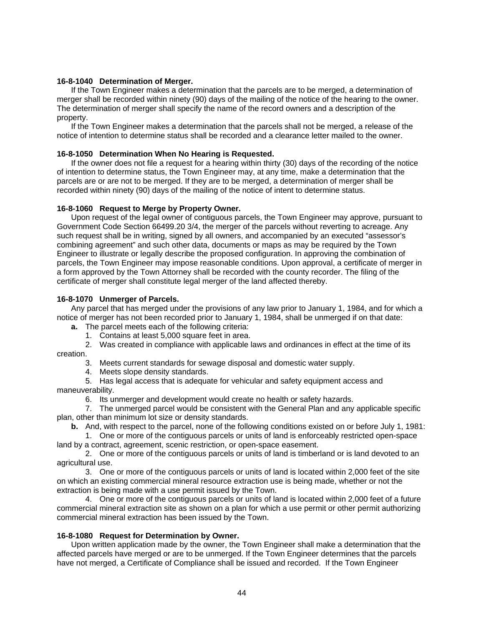## <span id="page-44-0"></span>**16-8-1040 Determination of Merger.**

 If the Town Engineer makes a determination that the parcels are to be merged, a determination of merger shall be recorded within ninety (90) days of the mailing of the notice of the hearing to the owner. The determination of merger shall specify the name of the record owners and a description of the property.

 If the Town Engineer makes a determination that the parcels shall not be merged, a release of the notice of intention to determine status shall be recorded and a clearance letter mailed to the owner.

## **16-8-1050 Determination When No Hearing is Requested.**

 If the owner does not file a request for a hearing within thirty (30) days of the recording of the notice of intention to determine status, the Town Engineer may, at any time, make a determination that the parcels are or are not to be merged. If they are to be merged, a determination of merger shall be recorded within ninety (90) days of the mailing of the notice of intent to determine status.

## **16-8-1060 Request to Merge by Property Owner.**

Upon request of the legal owner of contiguous parcels, the Town Engineer may approve, pursuant to Government Code Section 66499.20 3/4, the merger of the parcels without reverting to acreage. Any such request shall be in writing, signed by all owners, and accompanied by an executed "assessor's combining agreement" and such other data, documents or maps as may be required by the Town Engineer to illustrate or legally describe the proposed configuration. In approving the combination of parcels, the Town Engineer may impose reasonable conditions. Upon approval, a certificate of merger in a form approved by the Town Attorney shall be recorded with the county recorder. The filing of the certificate of merger shall constitute legal merger of the land affected thereby.

## **16-8-1070 Unmerger of Parcels.**

 Any parcel that has merged under the provisions of any law prior to January 1, 1984, and for which a notice of merger has not been recorded prior to January 1, 1984, shall be unmerged if on that date:

**a.** The parcel meets each of the following criteria:

1. Contains at least 5,000 square feet in area.

 2. Was created in compliance with applicable laws and ordinances in effect at the time of its creation.

3. Meets current standards for sewage disposal and domestic water supply.

4. Meets slope density standards.

 5. Has legal access that is adequate for vehicular and safety equipment access and maneuverability.

6. Its unmerger and development would create no health or safety hazards.

 7. The unmerged parcel would be consistent with the General Plan and any applicable specific plan, other than minimum lot size or density standards.

**b.** And, with respect to the parcel, none of the following conditions existed on or before July 1, 1981:

 1. One or more of the contiguous parcels or units of land is enforceably restricted open-space land by a contract, agreement, scenic restriction, or open-space easement.

 2. One or more of the contiguous parcels or units of land is timberland or is land devoted to an agricultural use.

 3. One or more of the contiguous parcels or units of land is located within 2,000 feet of the site on which an existing commercial mineral resource extraction use is being made, whether or not the extraction is being made with a use permit issued by the Town.

 4. One or more of the contiguous parcels or units of land is located within 2,000 feet of a future commercial mineral extraction site as shown on a plan for which a use permit or other permit authorizing commercial mineral extraction has been issued by the Town.

# **16-8-1080 Request for Determination by Owner.**

 Upon written application made by the owner, the Town Engineer shall make a determination that the affected parcels have merged or are to be unmerged. If the Town Engineer determines that the parcels have not merged, a Certificate of Compliance shall be issued and recorded. If the Town Engineer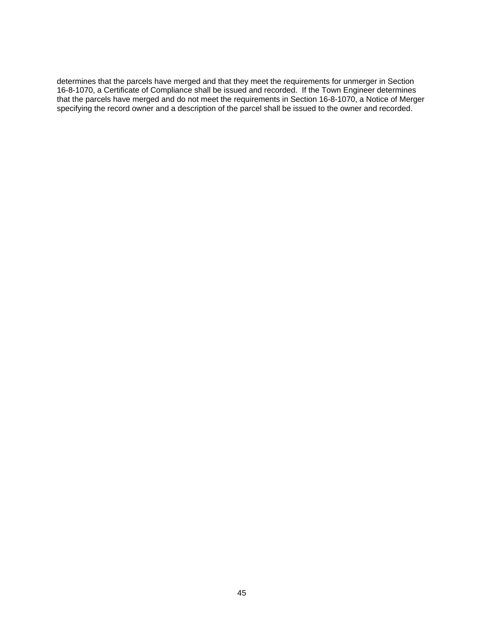determines that the parcels have merged and that they meet the requirements for unmerger in Section 16-8-1070, a Certificate of Compliance shall be issued and recorded. If the Town Engineer determines that the parcels have merged and do not meet the requirements in Section 16-8-1070, a Notice of Merger specifying the record owner and a description of the parcel shall be issued to the owner and recorded.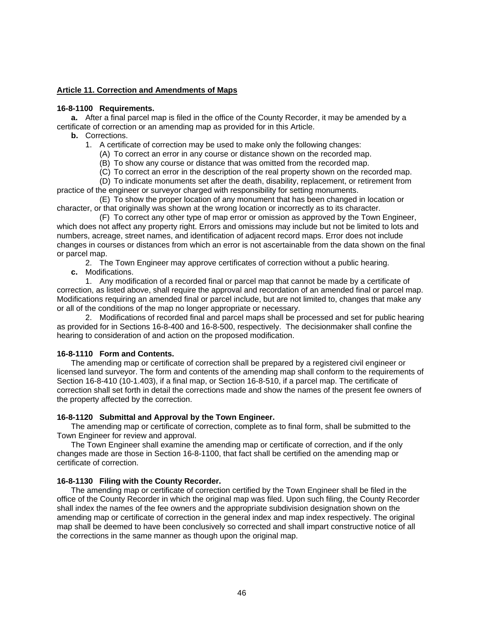## <span id="page-46-0"></span>**Article 11. Correction and Amendments of Maps**

## **16-8-1100 Requirements.**

**a.** After a final parcel map is filed in the office of the County Recorder, it may be amended by a certificate of correction or an amending map as provided for in this Article.

- **b.** Corrections.
	- 1. A certificate of correction may be used to make only the following changes:
		- (A) To correct an error in any course or distance shown on the recorded map.
		- (B) To show any course or distance that was omitted from the recorded map.
		- (C) To correct an error in the description of the real property shown on the recorded map.
		- (D) To indicate monuments set after the death, disability, replacement, or retirement from

practice of the engineer or surveyor charged with responsibility for setting monuments.

 (E) To show the proper location of any monument that has been changed in location or character, or that originally was shown at the wrong location or incorrectly as to its character.

 (F) To correct any other type of map error or omission as approved by the Town Engineer, which does not affect any property right. Errors and omissions may include but not be limited to lots and numbers, acreage, street names, and identification of adjacent record maps. Error does not include changes in courses or distances from which an error is not ascertainable from the data shown on the final or parcel map.

2. The Town Engineer may approve certificates of correction without a public hearing.

**c.** Modifications.

 1. Any modification of a recorded final or parcel map that cannot be made by a certificate of correction, as listed above, shall require the approval and recordation of an amended final or parcel map. Modifications requiring an amended final or parcel include, but are not limited to, changes that make any or all of the conditions of the map no longer appropriate or necessary.

 2. Modifications of recorded final and parcel maps shall be processed and set for public hearing as provided for in Sections 16-8-400 and 16-8-500, respectively. The decisionmaker shall confine the hearing to consideration of and action on the proposed modification.

## **16-8-1110 Form and Contents.**

 The amending map or certificate of correction shall be prepared by a registered civil engineer or licensed land surveyor. The form and contents of the amending map shall conform to the requirements of Section 16-8-410 (10-1.403), if a final map, or Section 16-8-510, if a parcel map. The certificate of correction shall set forth in detail the corrections made and show the names of the present fee owners of the property affected by the correction.

#### **16-8-1120 Submittal and Approval by the Town Engineer.**

 The amending map or certificate of correction, complete as to final form, shall be submitted to the Town Engineer for review and approval.

 The Town Engineer shall examine the amending map or certificate of correction, and if the only changes made are those in Section 16-8-1100, that fact shall be certified on the amending map or certificate of correction.

## **16-8-1130 Filing with the County Recorder.**

 The amending map or certificate of correction certified by the Town Engineer shall be filed in the office of the County Recorder in which the original map was filed. Upon such filing, the County Recorder shall index the names of the fee owners and the appropriate subdivision designation shown on the amending map or certificate of correction in the general index and map index respectively. The original map shall be deemed to have been conclusively so corrected and shall impart constructive notice of all the corrections in the same manner as though upon the original map.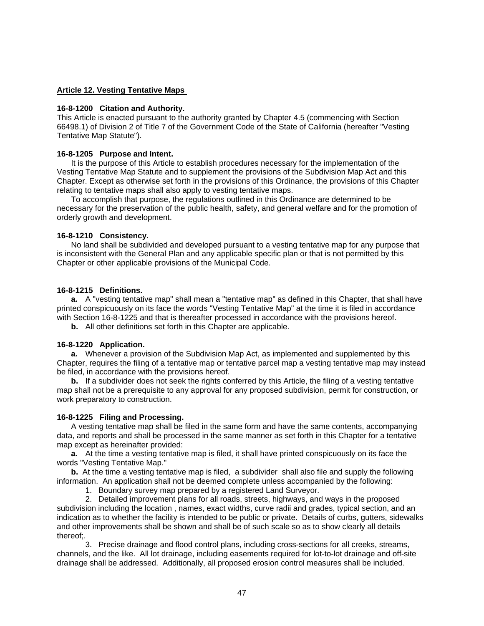# <span id="page-47-0"></span>**Article 12. Vesting Tentative Maps**

#### **16-8-1200 Citation and Authority.**

This Article is enacted pursuant to the authority granted by Chapter 4.5 (commencing with Section 66498.1) of Division 2 of Title 7 of the Government Code of the State of California (hereafter "Vesting Tentative Map Statute").

## **16-8-1205 Purpose and Intent.**

 It is the purpose of this Article to establish procedures necessary for the implementation of the Vesting Tentative Map Statute and to supplement the provisions of the Subdivision Map Act and this Chapter. Except as otherwise set forth in the provisions of this Ordinance, the provisions of this Chapter relating to tentative maps shall also apply to vesting tentative maps.

 To accomplish that purpose, the regulations outlined in this Ordinance are determined to be necessary for the preservation of the public health, safety, and general welfare and for the promotion of orderly growth and development.

#### **16-8-1210 Consistency.**

 No land shall be subdivided and developed pursuant to a vesting tentative map for any purpose that is inconsistent with the General Plan and any applicable specific plan or that is not permitted by this Chapter or other applicable provisions of the Municipal Code.

#### **16-8-1215 Definitions.**

**a.** A "vesting tentative map" shall mean a "tentative map" as defined in this Chapter, that shall have printed conspicuously on its face the words "Vesting Tentative Map" at the time it is filed in accordance with Section 16-8-1225 and that is thereafter processed in accordance with the provisions hereof.

**b.** All other definitions set forth in this Chapter are applicable.

#### **16-8-1220 Application.**

**a.** Whenever a provision of the Subdivision Map Act, as implemented and supplemented by this Chapter, requires the filing of a tentative map or tentative parcel map a vesting tentative map may instead be filed, in accordance with the provisions hereof.

**b.** If a subdivider does not seek the rights conferred by this Article, the filing of a vesting tentative map shall not be a prerequisite to any approval for any proposed subdivision, permit for construction, or work preparatory to construction.

#### **16-8-1225 Filing and Processing.**

 A vesting tentative map shall be filed in the same form and have the same contents, accompanying data, and reports and shall be processed in the same manner as set forth in this Chapter for a tentative map except as hereinafter provided:

**a.** At the time a vesting tentative map is filed, it shall have printed conspicuously on its face the words "Vesting Tentative Map."

**b.** At the time a vesting tentative map is filed, a subdivider shall also file and supply the following information. An application shall not be deemed complete unless accompanied by the following:

1. Boundary survey map prepared by a registered Land Surveyor.

 2. Detailed improvement plans for all roads, streets, highways, and ways in the proposed subdivision including the location , names, exact widths, curve radii and grades, typical section, and an indication as to whether the facility is intended to be public or private. Details of curbs, gutters, sidewalks and other improvements shall be shown and shall be of such scale so as to show clearly all details thereof;.

 3. Precise drainage and flood control plans, including cross-sections for all creeks, streams, channels, and the like. All lot drainage, including easements required for lot-to-lot drainage and off-site drainage shall be addressed. Additionally, all proposed erosion control measures shall be included.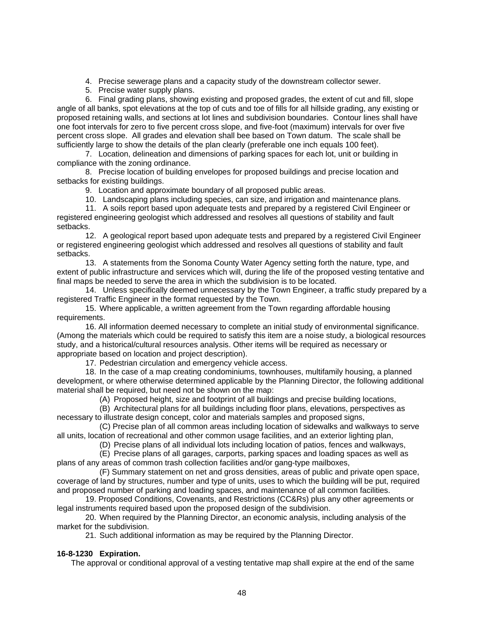- 4. Precise sewerage plans and a capacity study of the downstream collector sewer.
- 5. Precise water supply plans.

<span id="page-48-0"></span> 6. Final grading plans, showing existing and proposed grades, the extent of cut and fill, slope angle of all banks, spot elevations at the top of cuts and toe of fills for all hillside grading, any existing or proposed retaining walls, and sections at lot lines and subdivision boundaries. Contour lines shall have one foot intervals for zero to five percent cross slope, and five-foot (maximum) intervals for over five percent cross slope. All grades and elevation shall bee based on Town datum. The scale shall be sufficiently large to show the details of the plan clearly (preferable one inch equals 100 feet).

 7. Location, delineation and dimensions of parking spaces for each lot, unit or building in compliance with the zoning ordinance.

 8. Precise location of building envelopes for proposed buildings and precise location and setbacks for existing buildings.

9. Location and approximate boundary of all proposed public areas.

10. Landscaping plans including species, can size, and irrigation and maintenance plans.

 11. A soils report based upon adequate tests and prepared by a registered Civil Engineer or registered engineering geologist which addressed and resolves all questions of stability and fault setbacks.

 12. A geological report based upon adequate tests and prepared by a registered Civil Engineer or registered engineering geologist which addressed and resolves all questions of stability and fault setbacks.

 13. A statements from the Sonoma County Water Agency setting forth the nature, type, and extent of public infrastructure and services which will, during the life of the proposed vesting tentative and final maps be needed to serve the area in which the subdivision is to be located.

 14. Unless specifically deemed unnecessary by the Town Engineer, a traffic study prepared by a registered Traffic Engineer in the format requested by the Town.

 15. Where applicable, a written agreement from the Town regarding affordable housing requirements.

 16. All information deemed necessary to complete an initial study of environmental significance. (Among the materials which could be required to satisfy this item are a noise study, a biological resources study, and a historical/cultural resources analysis. Other items will be required as necessary or appropriate based on location and project description).

17. Pedestrian circulation and emergency vehicle access.

 18. In the case of a map creating condominiums, townhouses, multifamily housing, a planned development, or where otherwise determined applicable by the Planning Director, the following additional material shall be required, but need not be shown on the map:

(A) Proposed height, size and footprint of all buildings and precise building locations,

 (B) Architectural plans for all buildings including floor plans, elevations, perspectives as necessary to illustrate design concept, color and materials samples and proposed signs,

 (C) Precise plan of all common areas including location of sidewalks and walkways to serve all units, location of recreational and other common usage facilities, and an exterior lighting plan,

(D) Precise plans of all individual lots including location of patios, fences and walkways,

 (E) Precise plans of all garages, carports, parking spaces and loading spaces as well as plans of any areas of common trash collection facilities and/or gang-type mailboxes,

 (F) Summary statement on net and gross densities, areas of public and private open space, coverage of land by structures, number and type of units, uses to which the building will be put, required and proposed number of parking and loading spaces, and maintenance of all common facilities.

 19. Proposed Conditions, Covenants, and Restrictions (CC&Rs) plus any other agreements or legal instruments required based upon the proposed design of the subdivision.

 20. When required by the Planning Director, an economic analysis, including analysis of the market for the subdivision.

21. Such additional information as may be required by the Planning Director.

# **16-8-1230 Expiration.**

The approval or conditional approval of a vesting tentative map shall expire at the end of the same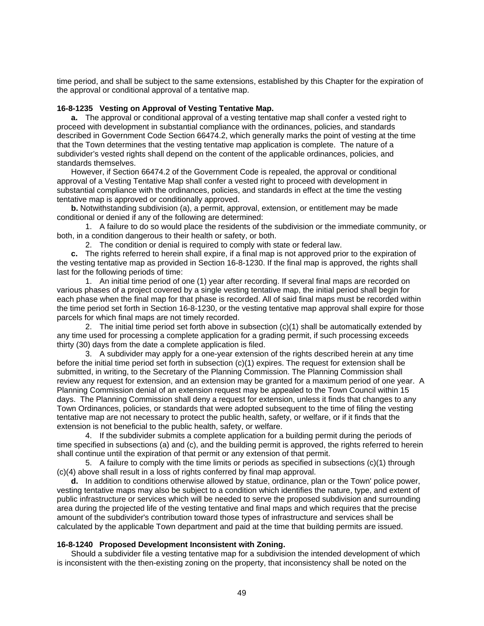<span id="page-49-0"></span>time period, and shall be subject to the same extensions, established by this Chapter for the expiration of the approval or conditional approval of a tentative map.

#### **16-8-1235 Vesting on Approval of Vesting Tentative Map.**

**a.** The approval or conditional approval of a vesting tentative map shall confer a vested right to proceed with development in substantial compliance with the ordinances, policies, and standards described in Government Code Section 66474.2, which generally marks the point of vesting at the time that the Town determines that the vesting tentative map application is complete. The nature of a subdivider's vested rights shall depend on the content of the applicable ordinances, policies, and standards themselves.

 However, if Section 66474.2 of the Government Code is repealed, the approval or conditional approval of a Vesting Tentative Map shall confer a vested right to proceed with development in substantial compliance with the ordinances, policies, and standards in effect at the time the vesting tentative map is approved or conditionally approved.

**b.** Notwithstanding subdivision (a), a permit, approval, extension, or entitlement may be made conditional or denied if any of the following are determined:

 1. A failure to do so would place the residents of the subdivision or the immediate community, or both, in a condition dangerous to their health or safety, or both.

2. The condition or denial is required to comply with state or federal law.

**c.** The rights referred to herein shall expire, if a final map is not approved prior to the expiration of the vesting tentative map as provided in Section 16-8-1230. If the final map is approved, the rights shall last for the following periods of time:

 1. An initial time period of one (1) year after recording. If several final maps are recorded on various phases of a project covered by a single vesting tentative map, the initial period shall begin for each phase when the final map for that phase is recorded. All of said final maps must be recorded within the time period set forth in Section 16-8-1230, or the vesting tentative map approval shall expire for those parcels for which final maps are not timely recorded.

 2. The initial time period set forth above in subsection (c)(1) shall be automatically extended by any time used for processing a complete application for a grading permit, if such processing exceeds thirty (30) days from the date a complete application is filed.

 3. A subdivider may apply for a one-year extension of the rights described herein at any time before the initial time period set forth in subsection (c)(1) expires. The request for extension shall be submitted, in writing, to the Secretary of the Planning Commission. The Planning Commission shall review any request for extension, and an extension may be granted for a maximum period of one year. A Planning Commission denial of an extension request may be appealed to the Town Council within 15 days. The Planning Commission shall deny a request for extension, unless it finds that changes to any Town Ordinances, policies, or standards that were adopted subsequent to the time of filing the vesting tentative map are not necessary to protect the public health, safety, or welfare, or if it finds that the extension is not beneficial to the public health, safety, or welfare.

 4. If the subdivider submits a complete application for a building permit during the periods of time specified in subsections (a) and (c), and the building permit is approved, the rights referred to herein shall continue until the expiration of that permit or any extension of that permit.

 5. A failure to comply with the time limits or periods as specified in subsections (c)(1) through (c)(4) above shall result in a loss of rights conferred by final map approval.

**d.** In addition to conditions otherwise allowed by statue, ordinance, plan or the Town' police power, vesting tentative maps may also be subject to a condition which identifies the nature, type, and extent of public infrastructure or services which will be needed to serve the proposed subdivision and surrounding area during the projected life of the vesting tentative and final maps and which requires that the precise amount of the subdivider's contribution toward those types of infrastructure and services shall be calculated by the applicable Town department and paid at the time that building permits are issued.

#### **16-8-1240 Proposed Development Inconsistent with Zoning.**

 Should a subdivider file a vesting tentative map for a subdivision the intended development of which is inconsistent with the then-existing zoning on the property, that inconsistency shall be noted on the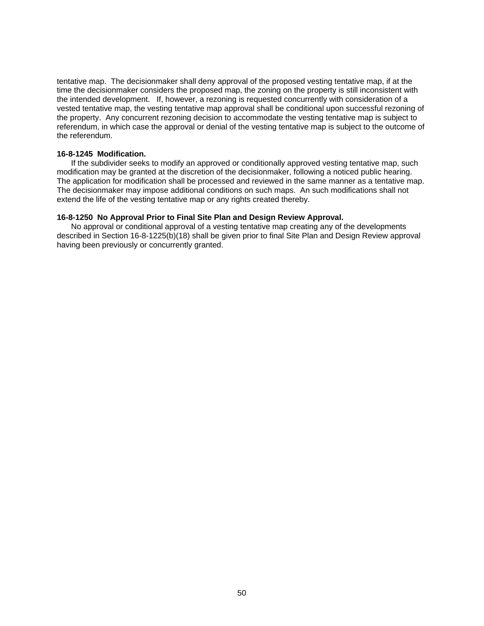tentative map. The decisionmaker shall deny approval of the proposed vesting tentative map, if at the time the decisionmaker considers the proposed map, the zoning on the property is still inconsistent with the intended development. If, however, a rezoning is requested concurrently with consideration of a vested tentative map, the vesting tentative map approval shall be conditional upon successful rezoning of the property. Any concurrent rezoning decision to accommodate the vesting tentative map is subject to referendum, in which case the approval or denial of the vesting tentative map is subject to the outcome of the referendum.

## **16-8-1245 Modification.**

 If the subdivider seeks to modify an approved or conditionally approved vesting tentative map, such modification may be granted at the discretion of the decisionmaker, following a noticed public hearing. The application for modification shall be processed and reviewed in the same manner as a tentative map. The decisionmaker may impose additional conditions on such maps. An such modifications shall not extend the life of the vesting tentative map or any rights created thereby.

## **16-8-1250 No Approval Prior to Final Site Plan and Design Review Approval.**

 No approval or conditional approval of a vesting tentative map creating any of the developments described in Section 16-8-1225(b)(18) shall be given prior to final Site Plan and Design Review approval having been previously or concurrently granted.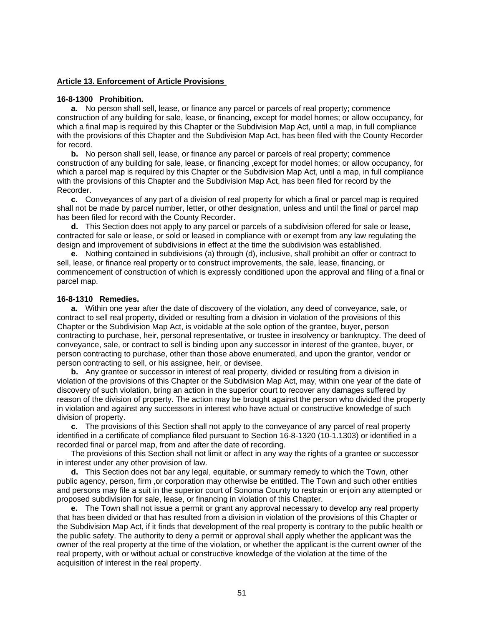#### <span id="page-51-0"></span>**Article 13. Enforcement of Article Provisions**

#### **16-8-1300 Prohibition.**

**a.** No person shall sell, lease, or finance any parcel or parcels of real property; commence construction of any building for sale, lease, or financing, except for model homes; or allow occupancy, for which a final map is required by this Chapter or the Subdivision Map Act, until a map, in full compliance with the provisions of this Chapter and the Subdivision Map Act, has been filed with the County Recorder for record.

**b.** No person shall sell, lease, or finance any parcel or parcels of real property; commence construction of any building for sale, lease, or financing ,except for model homes; or allow occupancy, for which a parcel map is required by this Chapter or the Subdivision Map Act, until a map, in full compliance with the provisions of this Chapter and the Subdivision Map Act, has been filed for record by the Recorder.

**c.** Conveyances of any part of a division of real property for which a final or parcel map is required shall not be made by parcel number, letter, or other designation, unless and until the final or parcel map has been filed for record with the County Recorder.

**d.** This Section does not apply to any parcel or parcels of a subdivision offered for sale or lease, contracted for sale or lease, or sold or leased in compliance with or exempt from any law regulating the design and improvement of subdivisions in effect at the time the subdivision was established.

**e.** Nothing contained in subdivisions (a) through (d), inclusive, shall prohibit an offer or contract to sell, lease, or finance real property or to construct improvements, the sale, lease, financing, or commencement of construction of which is expressly conditioned upon the approval and filing of a final or parcel map.

## **16-8-1310 Remedies.**

**a.** Within one year after the date of discovery of the violation, any deed of conveyance, sale, or contract to sell real property, divided or resulting from a division in violation of the provisions of this Chapter or the Subdivision Map Act, is voidable at the sole option of the grantee, buyer, person contracting to purchase, heir, personal representative, or trustee in insolvency or bankruptcy. The deed of conveyance, sale, or contract to sell is binding upon any successor in interest of the grantee, buyer, or person contracting to purchase, other than those above enumerated, and upon the grantor, vendor or person contracting to sell, or his assignee, heir, or devisee.

**b.** Any grantee or successor in interest of real property, divided or resulting from a division in violation of the provisions of this Chapter or the Subdivision Map Act, may, within one year of the date of discovery of such violation, bring an action in the superior court to recover any damages suffered by reason of the division of property. The action may be brought against the person who divided the property in violation and against any successors in interest who have actual or constructive knowledge of such division of property.

**c.** The provisions of this Section shall not apply to the conveyance of any parcel of real property identified in a certificate of compliance filed pursuant to Section 16-8-1320 (10-1.1303) or identified in a recorded final or parcel map, from and after the date of recording.

 The provisions of this Section shall not limit or affect in any way the rights of a grantee or successor in interest under any other provision of law.

**d.** This Section does not bar any legal, equitable, or summary remedy to which the Town, other public agency, person, firm ,or corporation may otherwise be entitled. The Town and such other entities and persons may file a suit in the superior court of Sonoma County to restrain or enjoin any attempted or proposed subdivision for sale, lease, or financing in violation of this Chapter.

**e.** The Town shall not issue a permit or grant any approval necessary to develop any real property that has been divided or that has resulted from a division in violation of the provisions of this Chapter or the Subdivision Map Act, if it finds that development of the real property is contrary to the public health or the public safety. The authority to deny a permit or approval shall apply whether the applicant was the owner of the real property at the time of the violation, or whether the applicant is the current owner of the real property, with or without actual or constructive knowledge of the violation at the time of the acquisition of interest in the real property.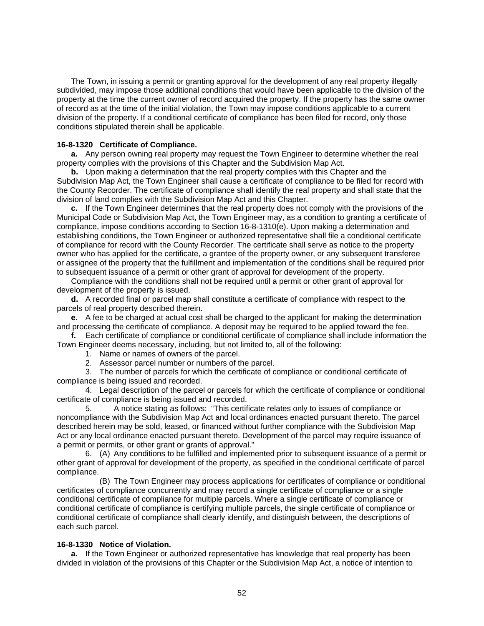<span id="page-52-0"></span> The Town, in issuing a permit or granting approval for the development of any real property illegally subdivided, may impose those additional conditions that would have been applicable to the division of the property at the time the current owner of record acquired the property. If the property has the same owner of record as at the time of the initial violation, the Town may impose conditions applicable to a current division of the property. If a conditional certificate of compliance has been filed for record, only those conditions stipulated therein shall be applicable.

#### **16-8-1320 Certificate of Compliance.**

**a.** Any person owning real property may request the Town Engineer to determine whether the real property complies with the provisions of this Chapter and the Subdivision Map Act.

**b.** Upon making a determination that the real property complies with this Chapter and the Subdivision Map Act, the Town Engineer shall cause a certificate of compliance to be filed for record with the County Recorder. The certificate of compliance shall identify the real property and shall state that the division of land complies with the Subdivision Map Act and this Chapter.

**c.** If the Town Engineer determines that the real property does not comply with the provisions of the Municipal Code or Subdivision Map Act, the Town Engineer may, as a condition to granting a certificate of compliance, impose conditions according to Section 16-8-1310(e). Upon making a determination and establishing conditions, the Town Engineer or authorized representative shall file a conditional certificate of compliance for record with the County Recorder. The certificate shall serve as notice to the property owner who has applied for the certificate, a grantee of the property owner, or any subsequent transferee or assignee of the property that the fulfillment and implementation of the conditions shall be required prior to subsequent issuance of a permit or other grant of approval for development of the property.

 Compliance with the conditions shall not be required until a permit or other grant of approval for development of the property is issued.

**d.** A recorded final or parcel map shall constitute a certificate of compliance with respect to the parcels of real property described therein.

**e.** A fee to be charged at actual cost shall be charged to the applicant for making the determination and processing the certificate of compliance. A deposit may be required to be applied toward the fee.

**f.** Each certificate of compliance or conditional certificate of compliance shall include information the Town Engineer deems necessary, including, but not limited to, all of the following:

- 1. Name or names of owners of the parcel.
- 2. Assessor parcel number or numbers of the parcel.

 3. The number of parcels for which the certificate of compliance or conditional certificate of compliance is being issued and recorded.

 4. Legal description of the parcel or parcels for which the certificate of compliance or conditional certificate of compliance is being issued and recorded.

 5. A notice stating as follows: "This certificate relates only to issues of compliance or noncompliance with the Subdivision Map Act and local ordinances enacted pursuant thereto. The parcel described herein may be sold, leased, or financed without further compliance with the Subdivision Map Act or any local ordinance enacted pursuant thereto. Development of the parcel may require issuance of a permit or permits, or other grant or grants of approval."

 6. (A) Any conditions to be fulfilled and implemented prior to subsequent issuance of a permit or other grant of approval for development of the property, as specified in the conditional certificate of parcel compliance.

 (B) The Town Engineer may process applications for certificates of compliance or conditional certificates of compliance concurrently and may record a single certificate of compliance or a single conditional certificate of compliance for multiple parcels. Where a single certificate of compliance or conditional certificate of compliance is certifying multiple parcels, the single certificate of compliance or conditional certificate of compliance shall clearly identify, and distinguish between, the descriptions of each such parcel.

#### **16-8-1330 Notice of Violation.**

**a.** If the Town Engineer or authorized representative has knowledge that real property has been divided in violation of the provisions of this Chapter or the Subdivision Map Act, a notice of intention to